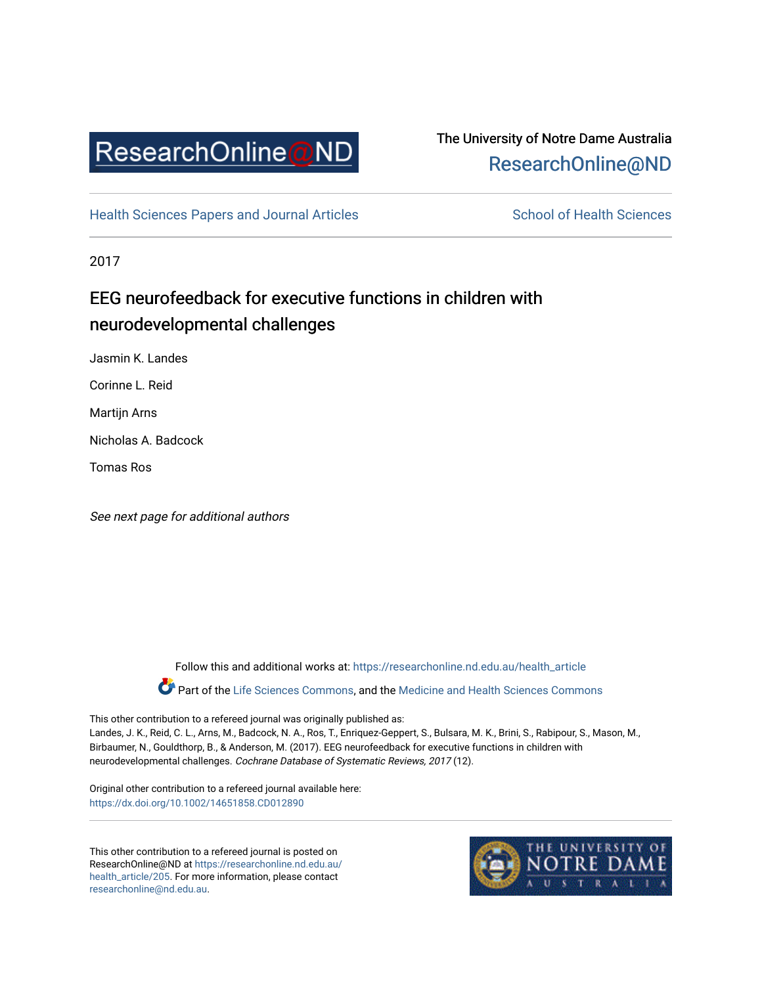

# The University of Notre Dame Australia [ResearchOnline@ND](https://researchonline.nd.edu.au/)

[Health Sciences Papers and Journal Articles](https://researchonline.nd.edu.au/health_article) School of Health Sciences

2017

# EEG neurofeedback for executive functions in children with neurodevelopmental challenges

Jasmin K. Landes

Corinne L. Reid

Martijn Arns

Nicholas A. Badcock

Tomas Ros

See next page for additional authors

Follow this and additional works at: [https://researchonline.nd.edu.au/health\\_article](https://researchonline.nd.edu.au/health_article?utm_source=researchonline.nd.edu.au%2Fhealth_article%2F205&utm_medium=PDF&utm_campaign=PDFCoverPages) Part of the [Life Sciences Commons](http://network.bepress.com/hgg/discipline/1016?utm_source=researchonline.nd.edu.au%2Fhealth_article%2F205&utm_medium=PDF&utm_campaign=PDFCoverPages), and the Medicine and Health Sciences Commons

This other contribution to a refereed journal was originally published as: Landes, J. K., Reid, C. L., Arns, M., Badcock, N. A., Ros, T., Enriquez-Geppert, S., Bulsara, M. K., Brini, S., Rabipour, S., Mason, M., Birbaumer, N., Gouldthorp, B., & Anderson, M. (2017). EEG neurofeedback for executive functions in children with neurodevelopmental challenges. Cochrane Database of Systematic Reviews, 2017 (12).

Original other contribution to a refereed journal available here: <https://dx.doi.org/10.1002/14651858.CD012890>

This other contribution to a refereed journal is posted on ResearchOnline@ND at [https://researchonline.nd.edu.au/](https://researchonline.nd.edu.au/health_article/205) [health\\_article/205.](https://researchonline.nd.edu.au/health_article/205) For more information, please contact [researchonline@nd.edu.au.](mailto:researchonline@nd.edu.au)

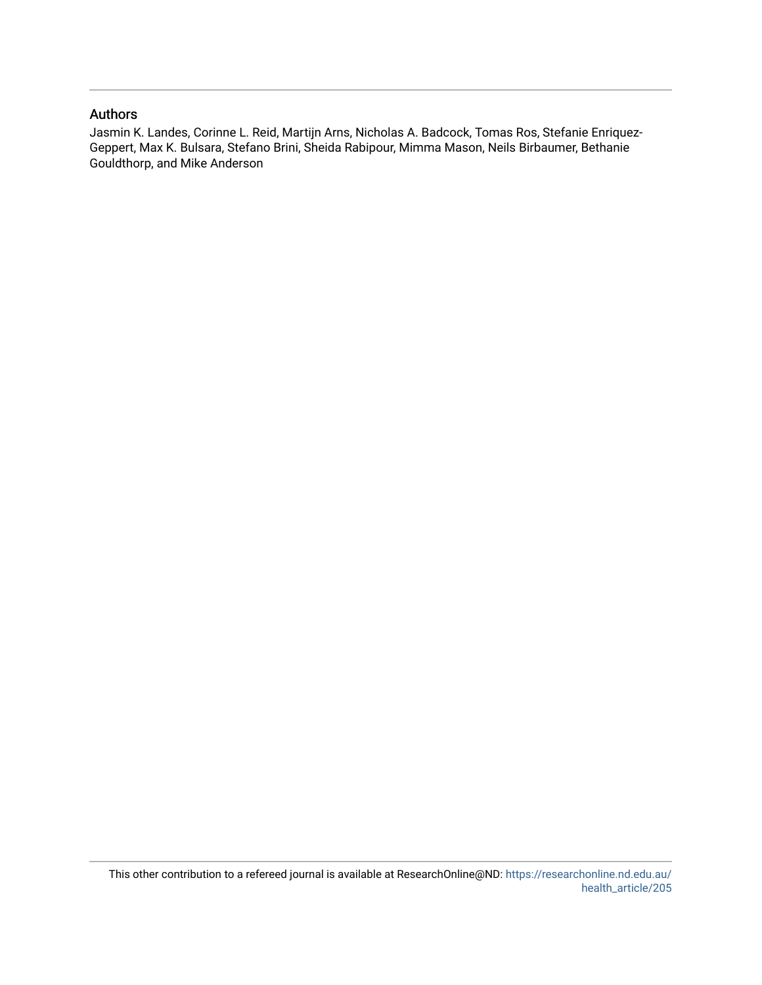# Authors

Jasmin K. Landes, Corinne L. Reid, Martijn Arns, Nicholas A. Badcock, Tomas Ros, Stefanie Enriquez-Geppert, Max K. Bulsara, Stefano Brini, Sheida Rabipour, Mimma Mason, Neils Birbaumer, Bethanie Gouldthorp, and Mike Anderson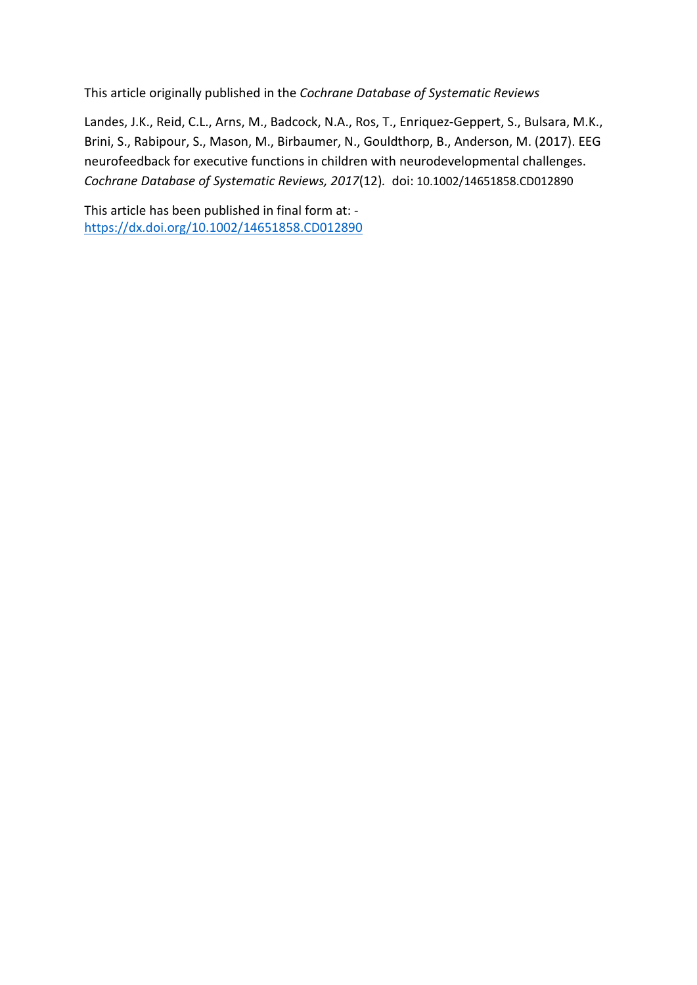This article originally published in the *Cochrane Database of Systematic Reviews*

Landes, J.K., Reid, C.L., Arns, M., Badcock, N.A., Ros, T., Enriquez-Geppert, S., Bulsara, M.K., Brini, S., Rabipour, S., Mason, M., Birbaumer, N., Gouldthorp, B., Anderson, M. (2017). EEG neurofeedback for executive functions in children with neurodevelopmental challenges. *Cochrane Database of Systematic Reviews, 2017*(12)*.* doi: 10.1002/14651858.CD012890

This article has been published in final form at: <https://dx.doi.org/10.1002/14651858.CD012890>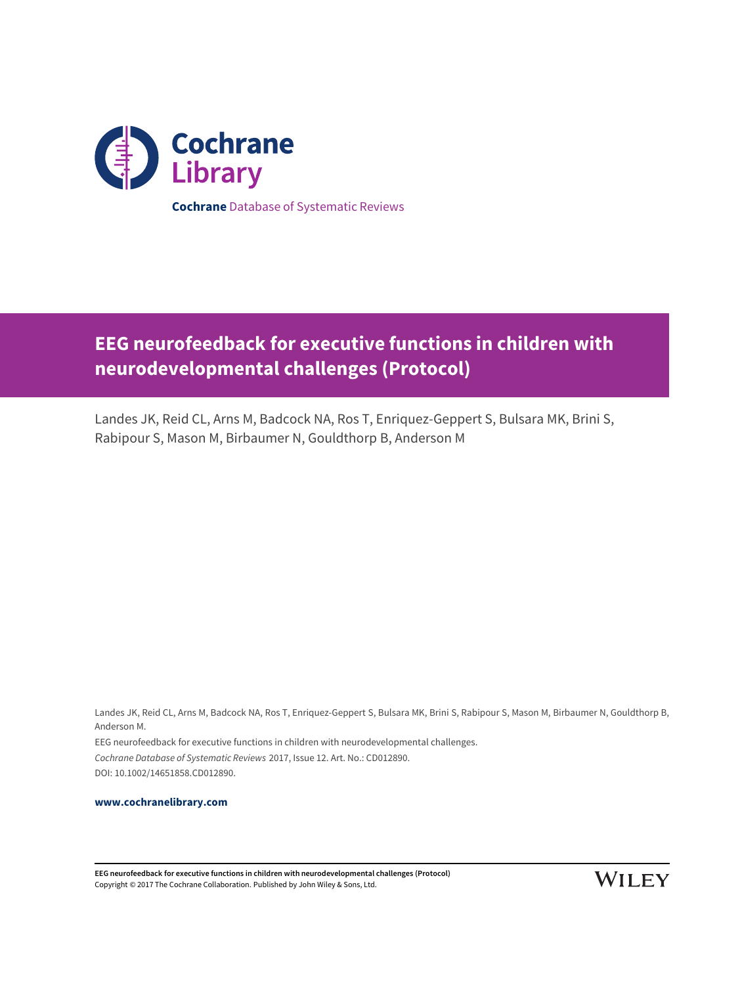

# **EEG neurofeedback for executive functions in children with neurodevelopmental challenges (Protocol)**

Landes JK, Reid CL, Arns M, Badcock NA, Ros T, Enriquez-Geppert S, Bulsara MK, Brini S, Rabipour S, Mason M, Birbaumer N, Gouldthorp B, Anderson M

Landes JK, Reid CL, Arns M, Badcock NA, Ros T, Enriquez-Geppert S, Bulsara MK, Brini S, Rabipour S, Mason M, Birbaumer N, Gouldthorp B, Anderson M. EEG neurofeedback for executive functions in children with neurodevelopmental challenges.

Cochrane Database of Systematic Reviews 2017, Issue 12. Art. No.: CD012890.

DOI: 10.1002/14651858.CD012890.

# **[www.cochranelibrary.com](http://www.cochranelibrary.com)**

**EEG neurofeedback for executive functions in children with neurodevelopmental challenges (Protocol)** Copyright © 2017 The Cochrane Collaboration. Published by John Wiley & Sons, Ltd.

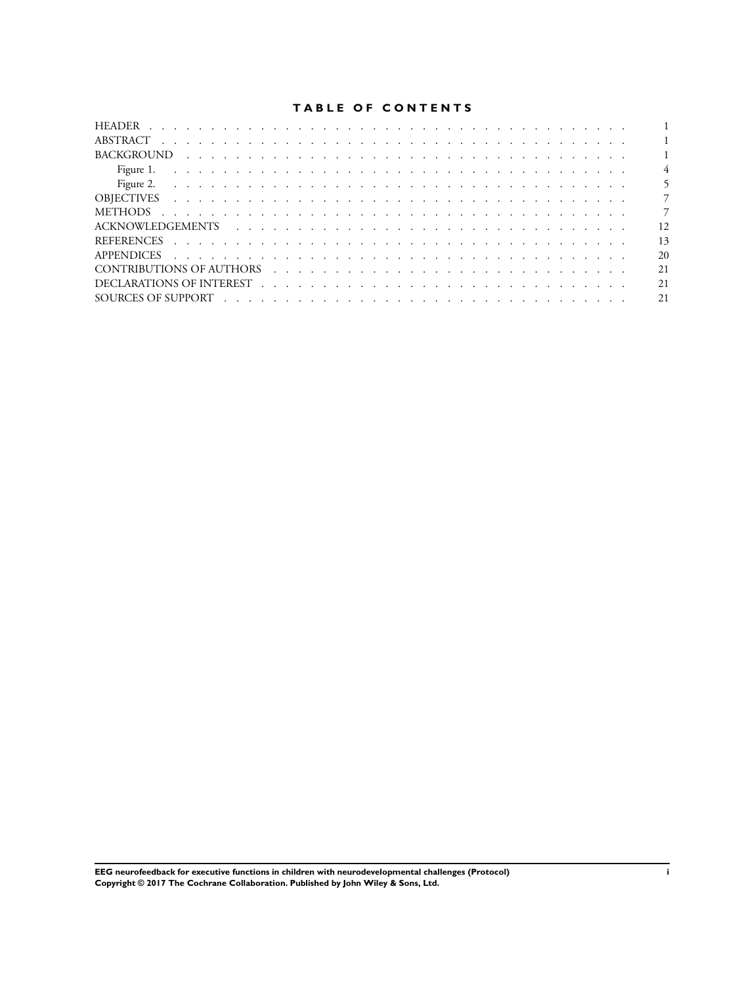# **TABLE OF CONTENTS**

| $\overline{1}$ |
|----------------|
| $\overline{1}$ |
| $\overline{1}$ |
| $\overline{4}$ |
| 5              |
| $\overline{7}$ |
| $\overline{7}$ |
| 12             |
| -13            |
| 20             |
| 21             |
| 2.1            |
| 21             |

**EEG neurofeedback for executive functions in children with neurodevelopmental challenges (Protocol) i Copyright © 2017 The Cochrane Collaboration. Published by John Wiley & Sons, Ltd.**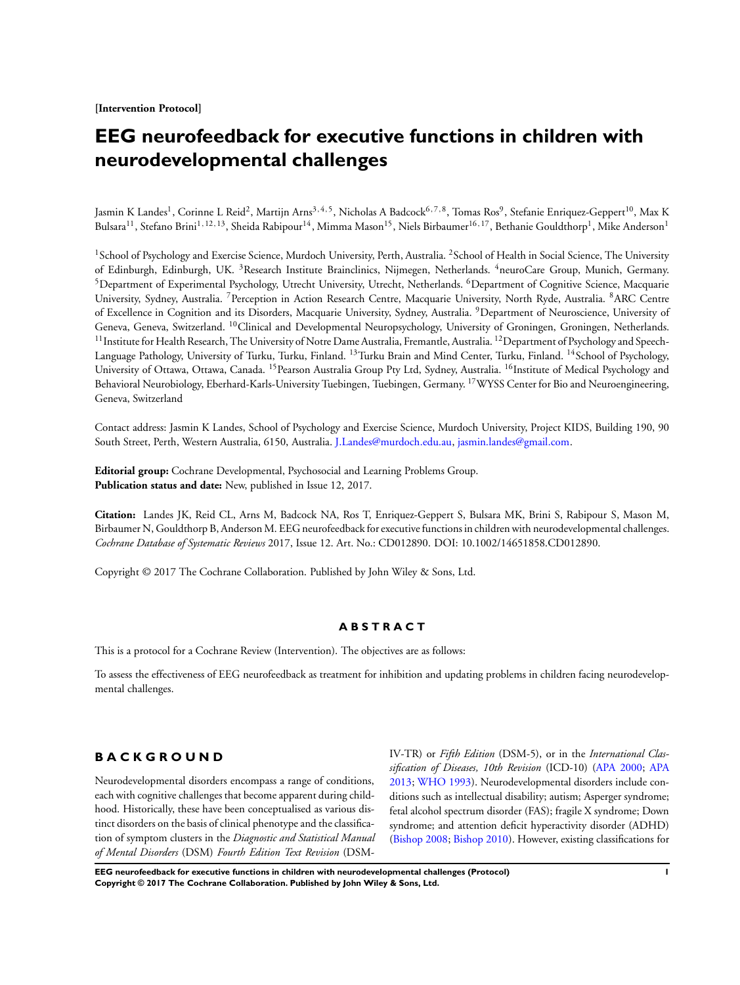# <span id="page-5-0"></span>**EEG neurofeedback for executive functions in children with neurodevelopmental challenges**

Jasmin K Landes<sup>1</sup>, Corinne L Reid<sup>2</sup>, Martijn Arns<sup>3,4,5</sup>, Nicholas A Badcock<sup>6,7,8</sup>, Tomas Ros<sup>9</sup>, Stefanie Enriquez-Geppert<sup>10</sup>, Max K Bulsara<sup>11</sup>, Stefano Brini<sup>1,12,13</sup>, Sheida Rabipour<sup>14</sup>, Mimma Mason<sup>15</sup>, Niels Birbaumer<sup>16,17</sup>, Bethanie Gouldthorp<sup>1</sup>, Mike Anderson<sup>1</sup>

<sup>1</sup> School of Psychology and Exercise Science, Murdoch University, Perth, Australia. <sup>2</sup> School of Health in Social Science, The University of Edinburgh, Edinburgh, UK. <sup>3</sup>Research Institute Brainclinics, Nijmegen, Netherlands. <sup>4</sup>neuroCare Group, Munich, Germany. <sup>5</sup>Department of Experimental Psychology, Utrecht University, Utrecht, Netherlands. <sup>6</sup>Department of Cognitive Science, Macquarie University, Sydney, Australia. <sup>7</sup> Perception in Action Research Centre, Macquarie University, North Ryde, Australia. <sup>8</sup> ARC Centre of Excellence in Cognition and its Disorders, Macquarie University, Sydney, Australia. <sup>9</sup>Department of Neuroscience, University of Geneva, Geneva, Switzerland. <sup>10</sup>Clinical and Developmental Neuropsychology, University of Groningen, Groningen, Netherlands. <sup>11</sup> Institute for Health Research, The University of Notre Dame Australia, Fremantle, Australia. <sup>12</sup> Department of Psychology and Speech-Language Pathology, University of Turku, Turku, Finland. <sup>13</sup>Turku Brain and Mind Center, Turku, Finland. <sup>14</sup>School of Psychology, University of Ottawa, Ottawa, Canada. <sup>15</sup> Pearson Australia Group Pty Ltd, Sydney, Australia. <sup>16</sup>Institute of Medical Psychology and Behavioral Neurobiology, Eberhard-Karls-University Tuebingen, Tuebingen, Germany. <sup>17</sup>WYSS Center for Bio and Neuroengineering, Geneva, Switzerland

Contact address: Jasmin K Landes, School of Psychology and Exercise Science, Murdoch University, Project KIDS, Building 190, 90 South Street, Perth, Western Australia, 6150, Australia. [J.Landes@murdoch.edu.au](mailto:J.Landes@murdoch.edu.au), [jasmin.landes@gmail.com](mailto:jasmin.landes@gmail.com).

**Editorial group:** Cochrane Developmental, Psychosocial and Learning Problems Group. **Publication status and date:** New, published in Issue 12, 2017.

**Citation:** Landes JK, Reid CL, Arns M, Badcock NA, Ros T, Enriquez-Geppert S, Bulsara MK, Brini S, Rabipour S, Mason M, Birbaumer N, Gouldthorp B, Anderson M. EEG neurofeedback forexecutive functions in children with neurodevelopmental challenges. *Cochrane Database of Systematic Reviews* 2017, Issue 12. Art. No.: CD012890. DOI: 10.1002/14651858.CD012890.

Copyright © 2017 The Cochrane Collaboration. Published by John Wiley & Sons, Ltd.

# **A B S T R A C T**

This is a protocol for a Cochrane Review (Intervention). The objectives are as follows:

To assess the effectiveness of EEG neurofeedback as treatment for inhibition and updating problems in children facing neurodevelopmental challenges.

# **B A C K G R O U N D**

Neurodevelopmental disorders encompass a range of conditions, each with cognitive challenges that become apparent during childhood. Historically, these have been conceptualised as various distinct disorders on the basis of clinical phenotype and the classification of symptom clusters in the *Diagnostic and Statistical Manual of Mental Disorders* (DSM) *Fourth Edition Text Revision* (DSM-

IV-TR) or *Fifth Edition* (DSM-5), or in the *International Classification of Diseases, 10th Revision* (ICD-10) [\(APA 2000;](#page-17-0) [APA](#page-17-0) [2013](#page-17-0); [WHO 1993\)](#page-17-0). Neurodevelopmental disorders include conditions such as intellectual disability; autism; Asperger syndrome; fetal alcohol spectrum disorder (FAS); fragile X syndrome; Down syndrome; and attention deficit hyperactivity disorder (ADHD) [\(Bishop 2008](#page-17-0); [Bishop 2010\)](#page-17-0). However, existing classifications for

**EEG neurofeedback for executive functions in children with neurodevelopmental challenges (Protocol) 1 Copyright © 2017 The Cochrane Collaboration. Published by John Wiley & Sons, Ltd.**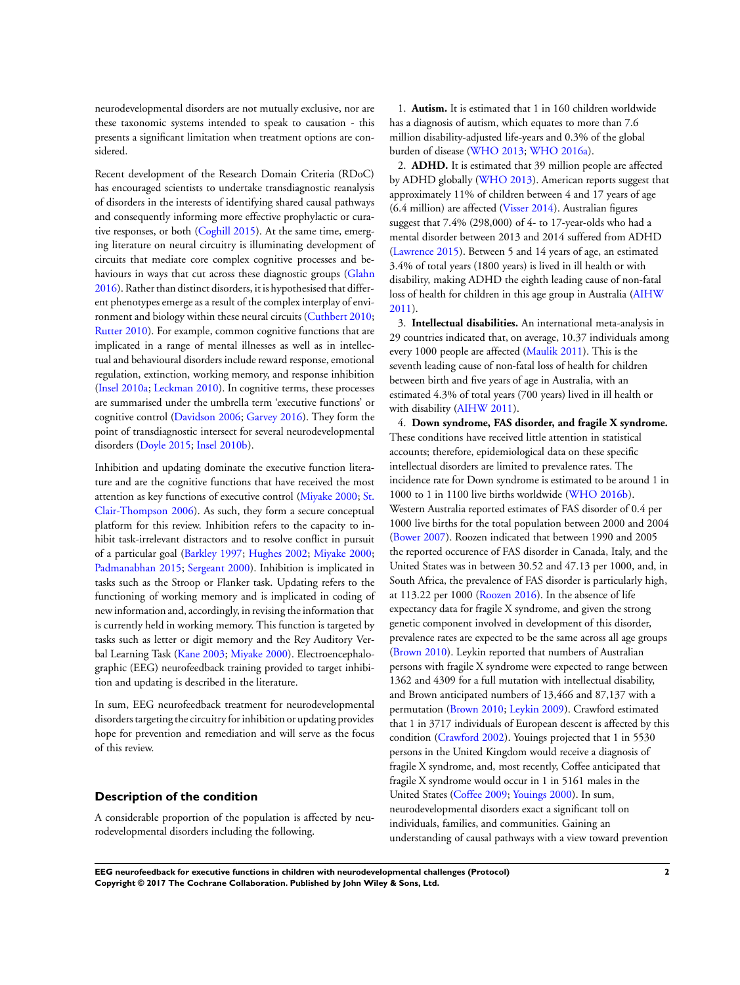neurodevelopmental disorders are not mutually exclusive, nor are these taxonomic systems intended to speak to causation - this presents a significant limitation when treatment options are considered.

Recent development of the Research Domain Criteria (RDoC) has encouraged scientists to undertake transdiagnostic reanalysis of disorders in the interests of identifying shared causal pathways and consequently informing more effective prophylactic or curative responses, or both [\(Coghill 2015\)](#page-17-0). At the same time, emerging literature on neural circuitry is illuminating development of circuits that mediate core complex cognitive processes and behaviours in ways that cut across these diagnostic groups [\(Glahn](#page-17-0) [2016](#page-17-0)). Rather than distinct disorders, it is hypothesised that different phenotypes emerge as a result of the complex interplay of environment and biology within these neural circuits [\(Cuthbert 2010;](#page-17-0) [Rutter 2010\)](#page-17-0). For example, common cognitive functions that are implicated in a range of mental illnesses as well as in intellectual and behavioural disorders include reward response, emotional regulation, extinction, working memory, and response inhibition [\(Insel 2010a](#page-17-0); [Leckman 2010\)](#page-17-0). In cognitive terms, these processes are summarised under the umbrella term 'executive functions' or cognitive control [\(Davidson 2006;](#page-17-0) [Garvey 2016](#page-17-0)). They form the point of transdiagnostic intersect for several neurodevelopmental disorders [\(Doyle 2015;](#page-17-0) [Insel 2010b](#page-17-0)).

Inhibition and updating dominate the executive function literature and are the cognitive functions that have received the most attention as key functions of executive control [\(Miyake 2000;](#page-17-0) [St.](#page-17-0) [Clair-Thompson 2006\)](#page-17-0). As such, they form a secure conceptual platform for this review. Inhibition refers to the capacity to inhibit task-irrelevant distractors and to resolve conflict in pursuit of a particular goal [\(Barkley 1997;](#page-17-0) [Hughes 2002](#page-17-0); [Miyake 2000;](#page-17-0) [Padmanabhan 2015](#page-17-0); [Sergeant 2000](#page-17-0)). Inhibition is implicated in tasks such as the Stroop or Flanker task. Updating refers to the functioning of working memory and is implicated in coding of new information and, accordingly, in revising the information that is currently held in working memory. This function is targeted by tasks such as letter or digit memory and the Rey Auditory Verbal Learning Task ([Kane 2003;](#page-17-0) [Miyake 2000](#page-17-0)). Electroencephalographic (EEG) neurofeedback training provided to target inhibition and updating is described in the literature.

In sum, EEG neurofeedback treatment for neurodevelopmental disorders targeting the circuitry for inhibition or updating provides hope for prevention and remediation and will serve as the focus of this review.

# **Description of the condition**

A considerable proportion of the population is affected by neurodevelopmental disorders including the following.

1. **Autism.** It is estimated that 1 in 160 children worldwide has a diagnosis of autism, which equates to more than 7.6 million disability-adjusted life-years and 0.3% of the global burden of disease [\(WHO 2013](#page-17-0); [WHO 2016a\)](#page-17-0).

2. **ADHD.** It is estimated that 39 million people are affected by ADHD globally ([WHO 2013](#page-17-0)). American reports suggest that approximately 11% of children between 4 and 17 years of age (6.4 million) are affected [\(Visser 2014](#page-17-0)). Australian figures suggest that 7.4% (298,000) of 4- to 17-year-olds who had a mental disorder between 2013 and 2014 suffered from ADHD [\(Lawrence 2015](#page-17-0)). Between 5 and 14 years of age, an estimated 3.4% of total years (1800 years) is lived in ill health or with disability, making ADHD the eighth leading cause of non-fatal loss of health for children in this age group in Australia [\(AIHW](#page-17-0) [2011](#page-17-0)).

3. **Intellectual disabilities.** An international meta-analysis in 29 countries indicated that, on average, 10.37 individuals among every 1000 people are affected [\(Maulik 2011\)](#page-17-0). This is the seventh leading cause of non-fatal loss of health for children between birth and five years of age in Australia, with an estimated 4.3% of total years (700 years) lived in ill health or with disability ([AIHW 2011\)](#page-17-0).

4. **Down syndrome, FAS disorder, and fragile X syndrome.** These conditions have received little attention in statistical accounts; therefore, epidemiological data on these specific intellectual disorders are limited to prevalence rates. The incidence rate for Down syndrome is estimated to be around 1 in 1000 to 1 in 1100 live births worldwide [\(WHO 2016b](#page-17-0)). Western Australia reported estimates of FAS disorder of 0.4 per 1000 live births for the total population between 2000 and 2004 [\(Bower 2007](#page-17-0)). Roozen indicated that between 1990 and 2005 the reported occurence of FAS disorder in Canada, Italy, and the United States was in between 30.52 and 47.13 per 1000, and, in South Africa, the prevalence of FAS disorder is particularly high, at 113.22 per 1000 [\(Roozen 2016\)](#page-17-0). In the absence of life expectancy data for fragile X syndrome, and given the strong genetic component involved in development of this disorder, prevalence rates are expected to be the same across all age groups [\(Brown 2010\)](#page-17-0). Leykin reported that numbers of Australian persons with fragile X syndrome were expected to range between 1362 and 4309 for a full mutation with intellectual disability, and Brown anticipated numbers of 13,466 and 87,137 with a permutation ([Brown 2010](#page-17-0); [Leykin 2009\)](#page-17-0). Crawford estimated that 1 in 3717 individuals of European descent is affected by this condition [\(Crawford 2002\)](#page-17-0). Youings projected that 1 in 5530 persons in the United Kingdom would receive a diagnosis of fragile X syndrome, and, most recently, Coffee anticipated that fragile X syndrome would occur in 1 in 5161 males in the United States ([Coffee 2009](#page-17-0); [Youings 2000\)](#page-17-0). In sum, neurodevelopmental disorders exact a significant toll on individuals, families, and communities. Gaining an understanding of causal pathways with a view toward prevention

**EEG neurofeedback for executive functions in children with neurodevelopmental challenges (Protocol) 2 Copyright © 2017 The Cochrane Collaboration. Published by John Wiley & Sons, Ltd.**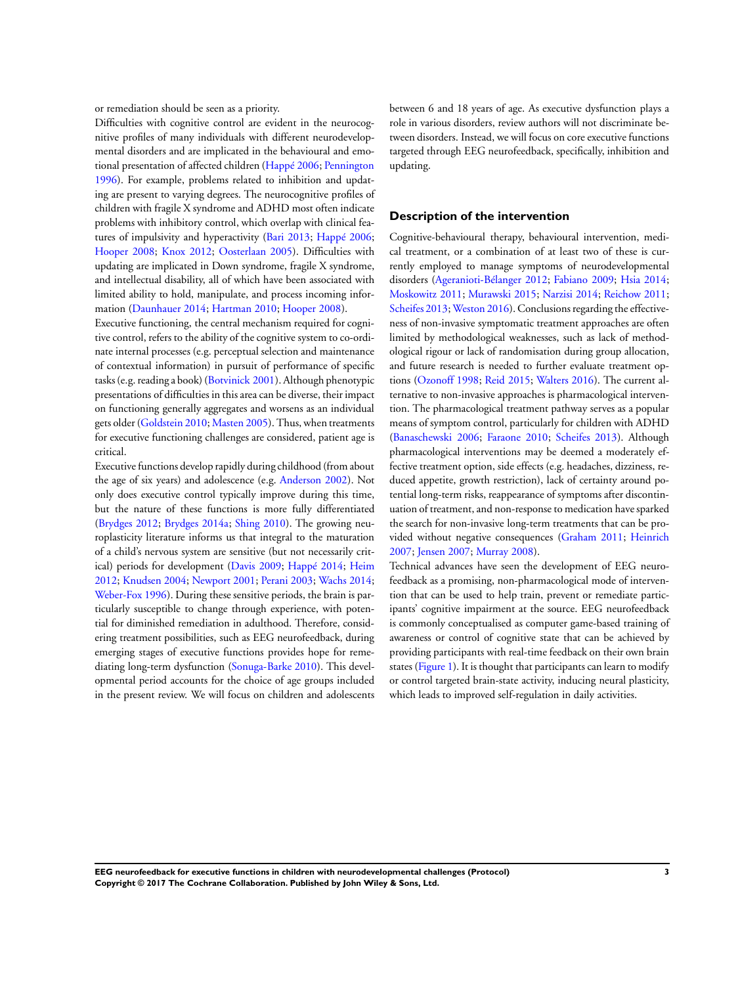or remediation should be seen as a priority.

Difficulties with cognitive control are evident in the neurocognitive profiles of many individuals with different neurodevelopmental disorders and are implicated in the behavioural and emotional presentation of affected children [\(Happé 2006;](#page-17-0) [Pennington](#page-17-0) [1996](#page-17-0)). For example, problems related to inhibition and updating are present to varying degrees. The neurocognitive profiles of children with fragile X syndrome and ADHD most often indicate problems with inhibitory control, which overlap with clinical features of impulsivity and hyperactivity [\(Bari 2013](#page-17-0); [Happé 2006;](#page-17-0) [Hooper 2008](#page-17-0); [Knox 2012](#page-17-0); [Oosterlaan 2005](#page-17-0)). Difficulties with updating are implicated in Down syndrome, fragile X syndrome, and intellectual disability, all of which have been associated with limited ability to hold, manipulate, and process incoming information [\(Daunhauer 2014;](#page-17-0) [Hartman 2010;](#page-17-0) [Hooper 2008](#page-17-0)).

Executive functioning, the central mechanism required for cognitive control, refers to the ability of the cognitive system to co-ordinate internal processes (e.g. perceptual selection and maintenance of contextual information) in pursuit of performance of specific tasks (e.g. reading a book) [\(Botvinick 2001](#page-17-0)). Although phenotypic presentations of difficulties in this area can be diverse, their impact on functioning generally aggregates and worsens as an individual gets older [\(Goldstein 2010;](#page-17-0) [Masten 2005\)](#page-17-0). Thus, when treatments for executive functioning challenges are considered, patient age is critical.

Executive functions develop rapidly during childhood (from about the age of six years) and adolescence (e.g. [Anderson 2002](#page-17-0)). Not only does executive control typically improve during this time, but the nature of these functions is more fully differentiated [\(Brydges 2012](#page-17-0); [Brydges 2014a](#page-17-0); [Shing 2010\)](#page-17-0). The growing neuroplasticity literature informs us that integral to the maturation of a child's nervous system are sensitive (but not necessarily critical) periods for development ([Davis 2009](#page-17-0); [Happé 2014](#page-17-0); [Heim](#page-17-0) [2012](#page-17-0); [Knudsen 2004;](#page-17-0) [Newport 2001;](#page-17-0) [Perani 2003;](#page-17-0) [Wachs 2014;](#page-17-0) [Weber-Fox 1996](#page-17-0)). During these sensitive periods, the brain is particularly susceptible to change through experience, with potential for diminished remediation in adulthood. Therefore, considering treatment possibilities, such as EEG neurofeedback, during emerging stages of executive functions provides hope for remediating long-term dysfunction [\(Sonuga-Barke 2010\)](#page-17-0). This developmental period accounts for the choice of age groups included in the present review. We will focus on children and adolescents between 6 and 18 years of age. As executive dysfunction plays a role in various disorders, review authors will not discriminate between disorders. Instead, we will focus on core executive functions targeted through EEG neurofeedback, specifically, inhibition and updating.

## **Description of the intervention**

Cognitive-behavioural therapy, behavioural intervention, medical treatment, or a combination of at least two of these is currently employed to manage symptoms of neurodevelopmental disorders [\(Ageranioti-Bélanger 2012](#page-17-0); [Fabiano 2009;](#page-17-0) [Hsia 2014;](#page-17-0) [Moskowitz 2011;](#page-17-0) [Murawski 2015;](#page-17-0) [Narzisi 2014;](#page-17-0) [Reichow 2011;](#page-17-0) [Scheifes 2013](#page-17-0); [Weston 2016\)](#page-17-0). Conclusions regarding the effectiveness of non-invasive symptomatic treatment approaches are often limited by methodological weaknesses, such as lack of methodological rigour or lack of randomisation during group allocation, and future research is needed to further evaluate treatment options ([Ozonoff 1998](#page-17-0); [Reid 2015;](#page-17-0) [Walters 2016\)](#page-17-0). The current alternative to non-invasive approaches is pharmacological intervention. The pharmacological treatment pathway serves as a popular means of symptom control, particularly for children with ADHD [\(Banaschewski 2006;](#page-17-0) [Faraone 2010;](#page-17-0) [Scheifes 2013](#page-17-0)). Although pharmacological interventions may be deemed a moderately effective treatment option, side effects (e.g. headaches, dizziness, reduced appetite, growth restriction), lack of certainty around potential long-term risks, reappearance of symptoms after discontinuation of treatment, and non-response to medication have sparked the search for non-invasive long-term treatments that can be provided without negative consequences [\(Graham 2011](#page-17-0); [Heinrich](#page-17-0) [2007](#page-17-0); [Jensen 2007](#page-17-0); [Murray 2008](#page-17-0)).

Technical advances have seen the development of EEG neurofeedback as a promising, non-pharmacological mode of intervention that can be used to help train, prevent or remediate participants' cognitive impairment at the source. EEG neurofeedback is commonly conceptualised as computer game-based training of awareness or control of cognitive state that can be achieved by providing participants with real-time feedback on their own brain states [\(Figure 1](#page-8-0)). It is thought that participants can learn to modify or control targeted brain-state activity, inducing neural plasticity, which leads to improved self-regulation in daily activities.

**EEG neurofeedback for executive functions in children with neurodevelopmental challenges (Protocol) 3 Copyright © 2017 The Cochrane Collaboration. Published by John Wiley & Sons, Ltd.**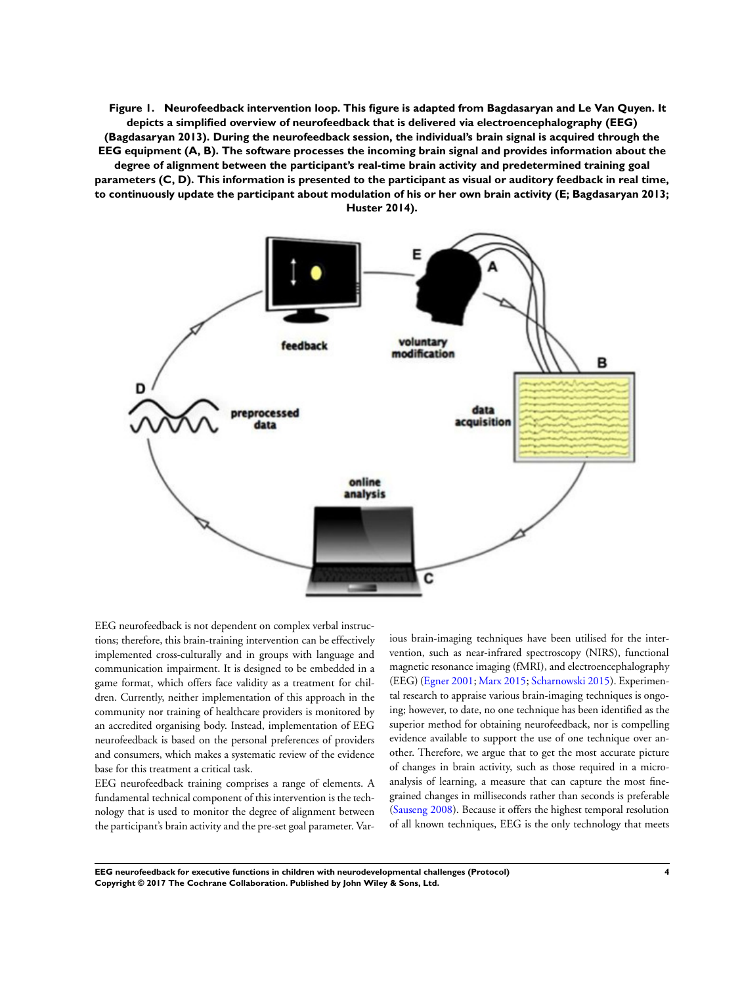<span id="page-8-0"></span>**Figure 1. Neurofeedback intervention loop. This figure is adapted from Bagdasaryan and Le Van Quyen. It depicts a simplified overview of neurofeedback that is delivered via electroencephalography (EEG) (Bagdasaryan 2013). During the neurofeedback session, the individual's brain signal is acquired through the EEG equipment (A, B). The software processes the incoming brain signal and provides information about the degree of alignment between the participant's real-time brain activity and predetermined training goal parameters (C, D). This information is presented to the participant as visual or auditory feedback in real time, to continuously update the participant about modulation of his or her own brain activity (E; Bagdasaryan 2013; Huster 2014).**



EEG neurofeedback is not dependent on complex verbal instructions; therefore, this brain-training intervention can be effectively implemented cross-culturally and in groups with language and communication impairment. It is designed to be embedded in a game format, which offers face validity as a treatment for children. Currently, neither implementation of this approach in the community nor training of healthcare providers is monitored by an accredited organising body. Instead, implementation of EEG neurofeedback is based on the personal preferences of providers and consumers, which makes a systematic review of the evidence base for this treatment a critical task.

EEG neurofeedback training comprises a range of elements. A fundamental technical component of this intervention is the technology that is used to monitor the degree of alignment between the participant's brain activity and the pre-set goal parameter. Various brain-imaging techniques have been utilised for the intervention, such as near-infrared spectroscopy (NIRS), functional magnetic resonance imaging (fMRI), and electroencephalography (EEG) ([Egner 2001](#page-17-0); [Marx 2015](#page-17-0); [Scharnowski 2015\)](#page-17-0). Experimental research to appraise various brain-imaging techniques is ongoing; however, to date, no one technique has been identified as the superior method for obtaining neurofeedback, nor is compelling evidence available to support the use of one technique over another. Therefore, we argue that to get the most accurate picture of changes in brain activity, such as those required in a microanalysis of learning, a measure that can capture the most finegrained changes in milliseconds rather than seconds is preferable [\(Sauseng 2008](#page-17-0)). Because it offers the highest temporal resolution of all known techniques, EEG is the only technology that meets

**EEG neurofeedback for executive functions in children with neurodevelopmental challenges (Protocol) 4 Copyright © 2017 The Cochrane Collaboration. Published by John Wiley & Sons, Ltd.**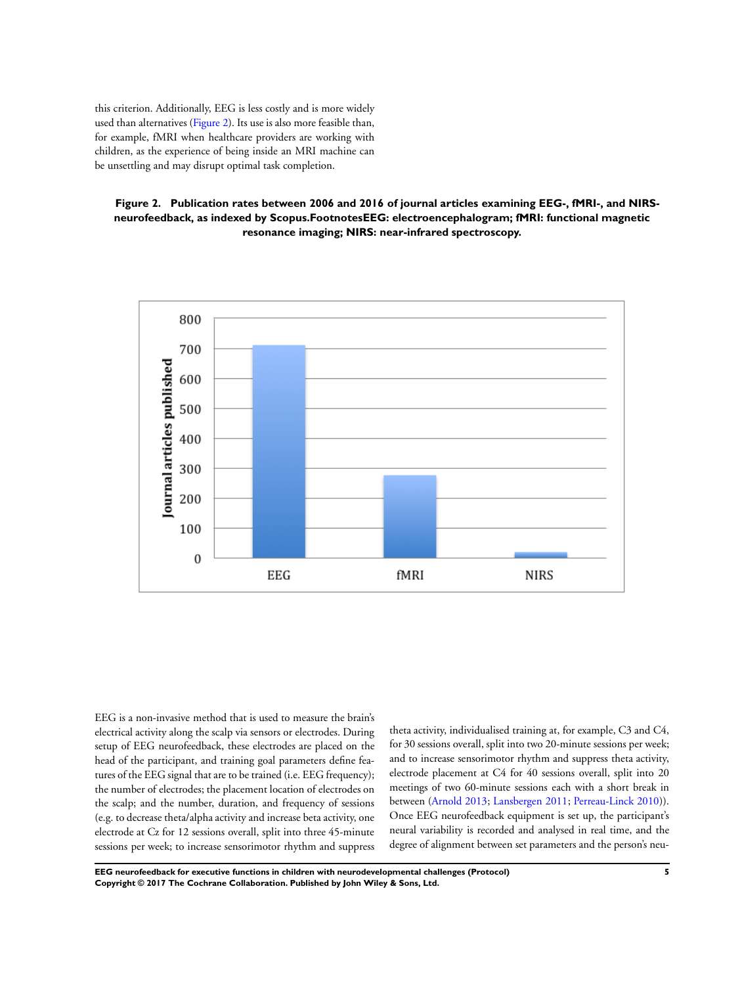<span id="page-9-0"></span>this criterion. Additionally, EEG is less costly and is more widely used than alternatives (Figure 2). Its use is also more feasible than, for example, fMRI when healthcare providers are working with children, as the experience of being inside an MRI machine can be unsettling and may disrupt optimal task completion.

**Figure 2. Publication rates between 2006 and 2016 of journal articles examining EEG-, fMRI-, and NIRSneurofeedback, as indexed by Scopus.FootnotesEEG: electroencephalogram; fMRI: functional magnetic resonance imaging; NIRS: near-infrared spectroscopy.**



EEG is a non-invasive method that is used to measure the brain's electrical activity along the scalp via sensors or electrodes. During setup of EEG neurofeedback, these electrodes are placed on the head of the participant, and training goal parameters define features of the EEG signal that are to be trained (i.e. EEG frequency); the number of electrodes; the placement location of electrodes on the scalp; and the number, duration, and frequency of sessions (e.g. to decrease theta/alpha activity and increase beta activity, one electrode at Cz for 12 sessions overall, split into three 45-minute sessions per week; to increase sensorimotor rhythm and suppress

theta activity, individualised training at, for example, C3 and C4, for 30 sessions overall, split into two 20-minute sessions per week; and to increase sensorimotor rhythm and suppress theta activity, electrode placement at C4 for 40 sessions overall, split into 20 meetings of two 60-minute sessions each with a short break in between [\(Arnold 2013;](#page-17-0) [Lansbergen 2011;](#page-17-0) [Perreau-Linck 2010](#page-17-0))). Once EEG neurofeedback equipment is set up, the participant's neural variability is recorded and analysed in real time, and the degree of alignment between set parameters and the person's neu-

**EEG neurofeedback for executive functions in children with neurodevelopmental challenges (Protocol) 5 Copyright © 2017 The Cochrane Collaboration. Published by John Wiley & Sons, Ltd.**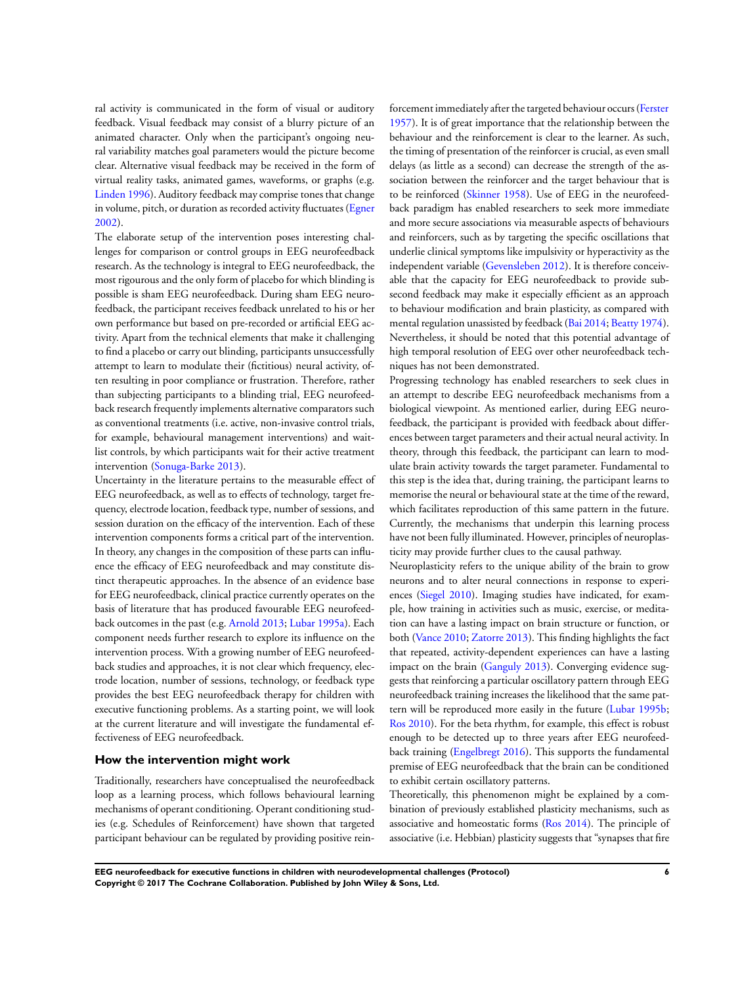ral activity is communicated in the form of visual or auditory feedback. Visual feedback may consist of a blurry picture of an animated character. Only when the participant's ongoing neural variability matches goal parameters would the picture become clear. Alternative visual feedback may be received in the form of virtual reality tasks, animated games, waveforms, or graphs (e.g. [Linden 1996\)](#page-17-0). Auditory feedback may comprise tones that change in volume, pitch, or duration as recorded activity fluctuates ([Egner](#page-17-0) [2002](#page-17-0)).

The elaborate setup of the intervention poses interesting challenges for comparison or control groups in EEG neurofeedback research. As the technology is integral to EEG neurofeedback, the most rigourous and the only form of placebo for which blinding is possible is sham EEG neurofeedback. During sham EEG neurofeedback, the participant receives feedback unrelated to his or her own performance but based on pre-recorded or artificial EEG activity. Apart from the technical elements that make it challenging to find a placebo or carry out blinding, participants unsuccessfully attempt to learn to modulate their (fictitious) neural activity, often resulting in poor compliance or frustration. Therefore, rather than subjecting participants to a blinding trial, EEG neurofeedback research frequently implements alternative comparators such as conventional treatments (i.e. active, non-invasive control trials, for example, behavioural management interventions) and waitlist controls, by which participants wait for their active treatment intervention [\(Sonuga-Barke 2013\)](#page-17-0).

Uncertainty in the literature pertains to the measurable effect of EEG neurofeedback, as well as to effects of technology, target frequency, electrode location, feedback type, number of sessions, and session duration on the efficacy of the intervention. Each of these intervention components forms a critical part of the intervention. In theory, any changes in the composition of these parts can influence the efficacy of EEG neurofeedback and may constitute distinct therapeutic approaches. In the absence of an evidence base for EEG neurofeedback, clinical practice currently operates on the basis of literature that has produced favourable EEG neurofeedback outcomes in the past (e.g. [Arnold 2013;](#page-17-0) [Lubar 1995a\)](#page-17-0). Each component needs further research to explore its influence on the intervention process. With a growing number of EEG neurofeedback studies and approaches, it is not clear which frequency, electrode location, number of sessions, technology, or feedback type provides the best EEG neurofeedback therapy for children with executive functioning problems. As a starting point, we will look at the current literature and will investigate the fundamental effectiveness of EEG neurofeedback.

# **How the intervention might work**

Traditionally, researchers have conceptualised the neurofeedback loop as a learning process, which follows behavioural learning mechanisms of operant conditioning. Operant conditioning studies (e.g. Schedules of Reinforcement) have shown that targeted participant behaviour can be regulated by providing positive reinforcement immediately after the targeted behaviour occurs [\(Ferster](#page-17-0) [1957](#page-17-0)). It is of great importance that the relationship between the behaviour and the reinforcement is clear to the learner. As such, the timing of presentation of the reinforcer is crucial, as even small delays (as little as a second) can decrease the strength of the association between the reinforcer and the target behaviour that is to be reinforced [\(Skinner 1958](#page-17-0)). Use of EEG in the neurofeedback paradigm has enabled researchers to seek more immediate and more secure associations via measurable aspects of behaviours and reinforcers, such as by targeting the specific oscillations that underlie clinical symptoms like impulsivity or hyperactivity as the independent variable [\(Gevensleben 2012](#page-17-0)). It is therefore conceivable that the capacity for EEG neurofeedback to provide subsecond feedback may make it especially efficient as an approach to behaviour modification and brain plasticity, as compared with mental regulation unassisted by feedback ([Bai 2014;](#page-17-0) [Beatty 1974](#page-17-0)). Nevertheless, it should be noted that this potential advantage of high temporal resolution of EEG over other neurofeedback techniques has not been demonstrated.

Progressing technology has enabled researchers to seek clues in an attempt to describe EEG neurofeedback mechanisms from a biological viewpoint. As mentioned earlier, during EEG neurofeedback, the participant is provided with feedback about differences between target parameters and their actual neural activity. In theory, through this feedback, the participant can learn to modulate brain activity towards the target parameter. Fundamental to this step is the idea that, during training, the participant learns to memorise the neural or behavioural state at the time of the reward, which facilitates reproduction of this same pattern in the future. Currently, the mechanisms that underpin this learning process have not been fully illuminated. However, principles of neuroplasticity may provide further clues to the causal pathway.

Neuroplasticity refers to the unique ability of the brain to grow neurons and to alter neural connections in response to experiences ([Siegel 2010](#page-17-0)). Imaging studies have indicated, for example, how training in activities such as music, exercise, or meditation can have a lasting impact on brain structure or function, or both [\(Vance 2010;](#page-17-0) [Zatorre 2013\)](#page-17-0). This finding highlights the fact that repeated, activity-dependent experiences can have a lasting impact on the brain [\(Ganguly 2013\)](#page-17-0). Converging evidence suggests that reinforcing a particular oscillatory pattern through EEG neurofeedback training increases the likelihood that the same pattern will be reproduced more easily in the future [\(Lubar 1995b;](#page-17-0) [Ros 2010](#page-17-0)). For the beta rhythm, for example, this effect is robust enough to be detected up to three years after EEG neurofeedback training ([Engelbregt 2016\)](#page-17-0). This supports the fundamental premise of EEG neurofeedback that the brain can be conditioned to exhibit certain oscillatory patterns.

Theoretically, this phenomenon might be explained by a combination of previously established plasticity mechanisms, such as associative and homeostatic forms [\(Ros 2014](#page-17-0)). The principle of associative (i.e. Hebbian) plasticity suggests that "synapses that fire

**EEG neurofeedback for executive functions in children with neurodevelopmental challenges (Protocol) 6 Copyright © 2017 The Cochrane Collaboration. Published by John Wiley & Sons, Ltd.**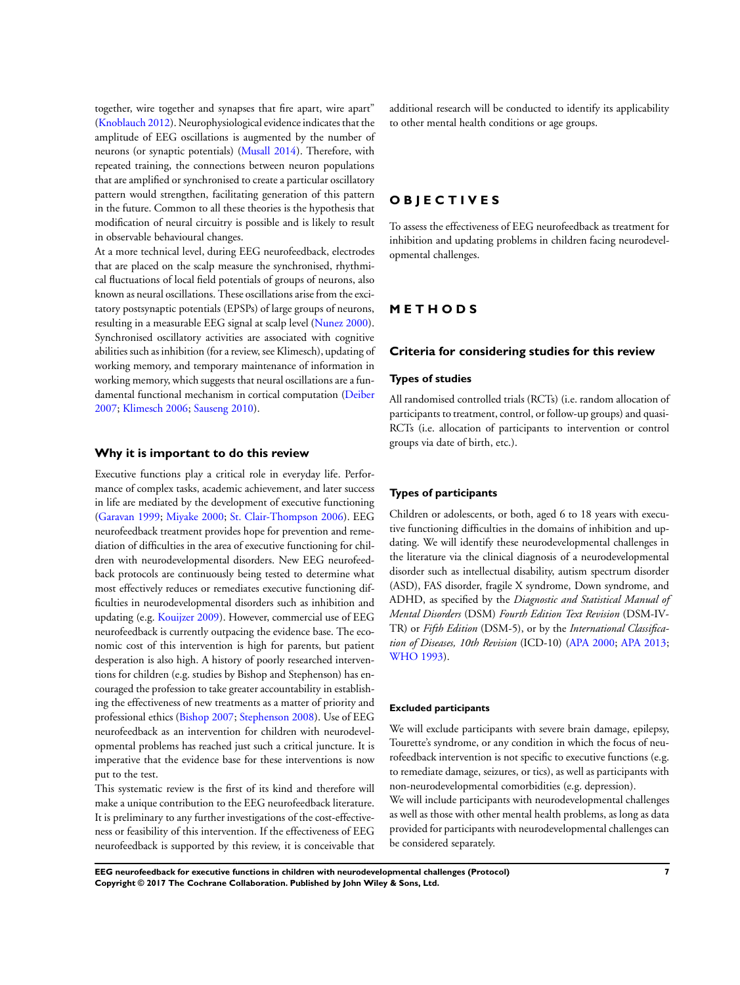together, wire together and synapses that fire apart, wire apart" [\(Knoblauch 2012\)](#page-17-0). Neurophysiological evidence indicates that the amplitude of EEG oscillations is augmented by the number of neurons (or synaptic potentials) ([Musall 2014](#page-17-0)). Therefore, with repeated training, the connections between neuron populations that are amplified or synchronised to create a particular oscillatory pattern would strengthen, facilitating generation of this pattern in the future. Common to all these theories is the hypothesis that modification of neural circuitry is possible and is likely to result in observable behavioural changes.

At a more technical level, during EEG neurofeedback, electrodes that are placed on the scalp measure the synchronised, rhythmical fluctuations of local field potentials of groups of neurons, also known as neural oscillations. These oscillations arise from the excitatory postsynaptic potentials (EPSPs) of large groups of neurons, resulting in a measurable EEG signal at scalp level ([Nunez 2000](#page-17-0)). Synchronised oscillatory activities are associated with cognitive abilities such as inhibition (for a review, see Klimesch), updating of working memory, and temporary maintenance of information in working memory, which suggests that neural oscillations are a fundamental functional mechanism in cortical computation [\(Deiber](#page-17-0) [2007](#page-17-0); [Klimesch 2006](#page-17-0); [Sauseng 2010\)](#page-17-0).

# **Why it is important to do this review**

Executive functions play a critical role in everyday life. Performance of complex tasks, academic achievement, and later success in life are mediated by the development of executive functioning [\(Garavan 1999;](#page-17-0) [Miyake 2000](#page-17-0); [St. Clair-Thompson 2006](#page-17-0)). EEG neurofeedback treatment provides hope for prevention and remediation of difficulties in the area of executive functioning for children with neurodevelopmental disorders. New EEG neurofeedback protocols are continuously being tested to determine what most effectively reduces or remediates executive functioning difficulties in neurodevelopmental disorders such as inhibition and updating (e.g. [Kouijzer 2009](#page-17-0)). However, commercial use of EEG neurofeedback is currently outpacing the evidence base. The economic cost of this intervention is high for parents, but patient desperation is also high. A history of poorly researched interventions for children (e.g. studies by Bishop and Stephenson) has encouraged the profession to take greater accountability in establishing the effectiveness of new treatments as a matter of priority and professional ethics [\(Bishop 2007](#page-17-0); [Stephenson 2008\)](#page-17-0). Use of EEG neurofeedback as an intervention for children with neurodevelopmental problems has reached just such a critical juncture. It is imperative that the evidence base for these interventions is now put to the test.

This systematic review is the first of its kind and therefore will make a unique contribution to the EEG neurofeedback literature. It is preliminary to any further investigations of the cost-effectiveness or feasibility of this intervention. If the effectiveness of EEG neurofeedback is supported by this review, it is conceivable that

additional research will be conducted to identify its applicability to other mental health conditions or age groups.

# **O B J E C T I V E S**

To assess the effectiveness of EEG neurofeedback as treatment for inhibition and updating problems in children facing neurodevelopmental challenges.

# **M E T H O D S**

# **Criteria for considering studies for this review**

#### **Types of studies**

All randomised controlled trials (RCTs) (i.e. random allocation of participants to treatment, control, or follow-up groups) and quasi-RCTs (i.e. allocation of participants to intervention or control groups via date of birth, etc.).

# **Types of participants**

Children or adolescents, or both, aged 6 to 18 years with executive functioning difficulties in the domains of inhibition and updating. We will identify these neurodevelopmental challenges in the literature via the clinical diagnosis of a neurodevelopmental disorder such as intellectual disability, autism spectrum disorder (ASD), FAS disorder, fragile X syndrome, Down syndrome, and ADHD, as specified by the *Diagnostic and Statistical Manual of Mental Disorders* (DSM) *Fourth Edition Text Revision* (DSM-IV-TR) or *Fifth Edition* (DSM-5), or by the *International Classification of Diseases, 10th Revision* (ICD-10) ([APA 2000](#page-17-0); [APA 2013;](#page-17-0) [WHO 1993\)](#page-17-0).

## **Excluded participants**

We will exclude participants with severe brain damage, epilepsy, Tourette's syndrome, or any condition in which the focus of neurofeedback intervention is not specific to executive functions (e.g. to remediate damage, seizures, or tics), as well as participants with non-neurodevelopmental comorbidities (e.g. depression).

We will include participants with neurodevelopmental challenges as well as those with other mental health problems, as long as data provided for participants with neurodevelopmental challenges can be considered separately.

**EEG neurofeedback for executive functions in children with neurodevelopmental challenges (Protocol) 7 Copyright © 2017 The Cochrane Collaboration. Published by John Wiley & Sons, Ltd.**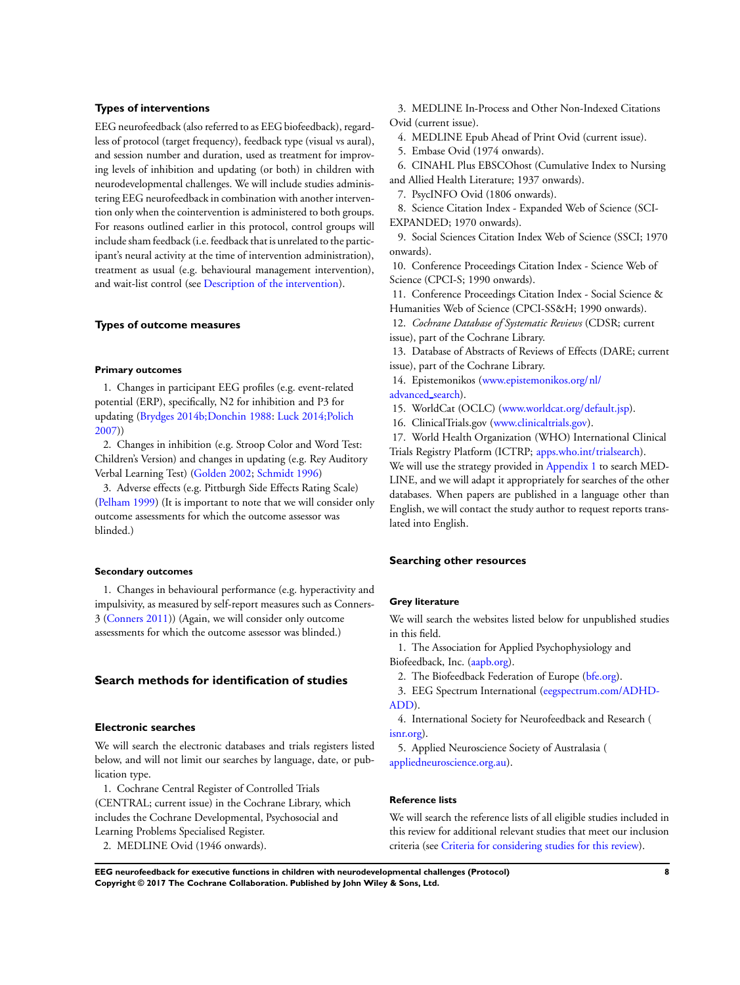# **Types of interventions**

EEG neurofeedback (also referred to as EEG biofeedback), regardless of protocol (target frequency), feedback type (visual vs aural), and session number and duration, used as treatment for improving levels of inhibition and updating (or both) in children with neurodevelopmental challenges. We will include studies administering EEG neurofeedback in combination with another intervention only when the cointervention is administered to both groups. For reasons outlined earlier in this protocol, control groups will include sham feedback (i.e. feedback that is unrelated to the participant's neural activity at the time of intervention administration), treatment as usual (e.g. behavioural management intervention), and wait-list control (see [Description of the intervention](#page-5-0)).

# **Types of outcome measures**

#### **Primary outcomes**

1. Changes in participant EEG profiles (e.g. event-related potential (ERP), specifically, N2 for inhibition and P3 for updating ([Brydges 2014b;Donchin 1988:](#page-17-0) [Luck 2014;Polich](#page-17-0) [2007](#page-17-0)))

2. Changes in inhibition (e.g. Stroop Color and Word Test: Children's Version) and changes in updating (e.g. Rey Auditory Verbal Learning Test) ([Golden 2002](#page-17-0); [Schmidt 1996](#page-17-0))

3. Adverse effects (e.g. Pittburgh Side Effects Rating Scale) [\(Pelham 1999\)](#page-17-0) (It is important to note that we will consider only outcome assessments for which the outcome assessor was blinded.)

# **Secondary outcomes**

1. Changes in behavioural performance (e.g. hyperactivity and impulsivity, as measured by self-report measures such as Conners-3 ([Conners 2011\)](#page-17-0)) (Again, we will consider only outcome assessments for which the outcome assessor was blinded.)

# **Search methods for identification of studies**

#### **Electronic searches**

We will search the electronic databases and trials registers listed below, and will not limit our searches by language, date, or publication type.

1. Cochrane Central Register of Controlled Trials (CENTRAL; current issue) in the Cochrane Library, which includes the Cochrane Developmental, Psychosocial and Learning Problems Specialised Register.

2. MEDLINE Ovid (1946 onwards).

3. MEDLINE In-Process and Other Non-Indexed Citations Ovid (current issue).

4. MEDLINE Epub Ahead of Print Ovid (current issue).

5. Embase Ovid (1974 onwards).

6. CINAHL Plus EBSCOhost (Cumulative Index to Nursing

and Allied Health Literature; 1937 onwards).

7. PsycINFO Ovid (1806 onwards).

8. Science Citation Index - Expanded Web of Science (SCI-

EXPANDED; 1970 onwards). 9. Social Sciences Citation Index Web of Science (SSCI; 1970 onwards).

10. Conference Proceedings Citation Index - Science Web of Science (CPCI-S; 1990 onwards).

11. Conference Proceedings Citation Index - Social Science & Humanities Web of Science (CPCI-SS&H; 1990 onwards).

12. *Cochrane Database of Systematic Reviews* (CDSR; current issue), part of the Cochrane Library.

13. Database of Abstracts of Reviews of Effects (DARE; current issue), part of the Cochrane Library.

14. Epistemonikos ([www.epistemonikos.org/nl/](http://www.epistemonikos.org/nl/advanced_search) [advanced](http://www.epistemonikos.org/nl/advanced_search) search).

15. WorldCat (OCLC) ([www.worldcat.org/default.jsp](http://www.worldcat.org/default.jsp)).

16. ClinicalTrials.gov ([www.clinicaltrials.gov](http://www.clinicaltrials.gov)).

17. World Health Organization (WHO) International Clinical Trials Registry Platform (ICTRP; [apps.who.int/trialsearch](http://apps.who.int/trialsearch)). We will use the strategy provided in [Appendix 1](#page-24-0) to search MED-LINE, and we will adapt it appropriately for searches of the other databases. When papers are published in a language other than

English, we will contact the study author to request reports translated into English.

# **Searching other resources**

## **Grey literature**

We will search the websites listed below for unpublished studies in this field.

- 1. The Association for Applied Psychophysiology and Biofeedback, Inc. ([aapb.org\)](http://www.aapb.org).
	- 2. The Biofeedback Federation of Europe ([bfe.org\)](http://www.bfe.org).
- 3. EEG Spectrum International ([eegspectrum.com/ADHD-](http://www.eegspectrum.com/ADHD-ADD/)[ADD\)](http://www.eegspectrum.com/ADHD-ADD/).

4. International Society for Neurofeedback and Research ( [isnr.org](http://www.isnr.org)).

5. Applied Neuroscience Society of Australasia ( [appliedneuroscience.org.au](http://www.appliedneuroscience.org.au/)).

# **Reference lists**

We will search the reference lists of all eligible studies included in this review for additional relevant studies that meet our inclusion criteria (see [Criteria for considering studies for this review\)](#page-9-0).

**EEG neurofeedback for executive functions in children with neurodevelopmental challenges (Protocol) 8 Copyright © 2017 The Cochrane Collaboration. Published by John Wiley & Sons, Ltd.**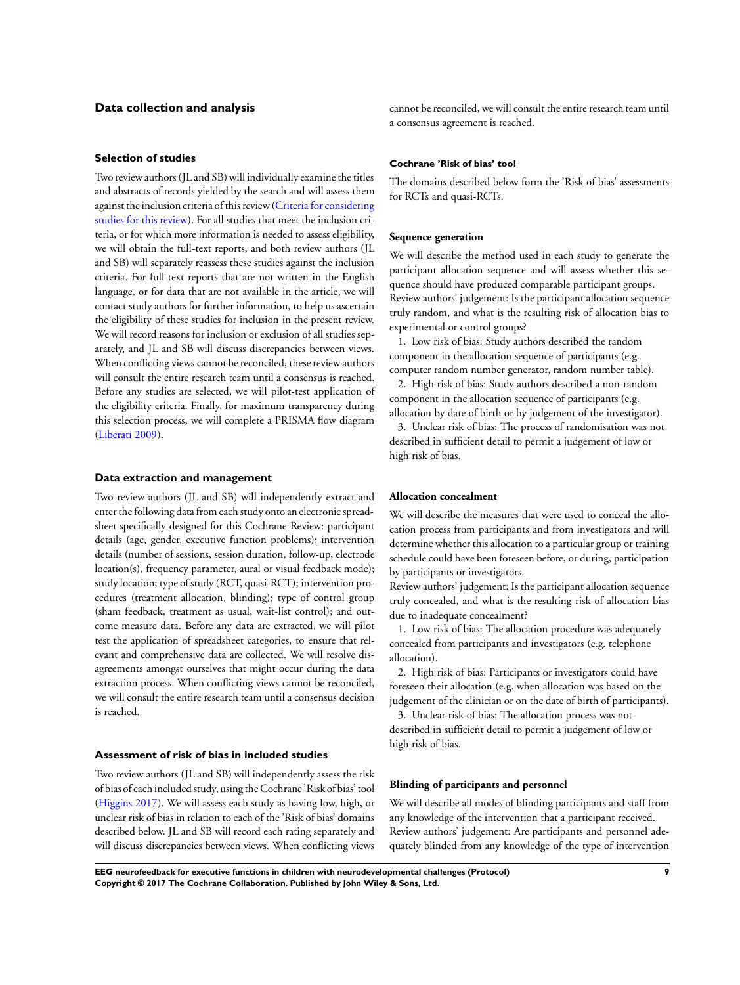# **Data collection and analysis**

# **Selection of studies**

Two review authors (JL and SB) will individually examine the titles and abstracts of records yielded by the search and will assess them against the inclusion criteria of this review [\(Criteria for considering](#page-9-0) [studies for this review\)](#page-9-0). For all studies that meet the inclusion criteria, or for which more information is needed to assess eligibility, we will obtain the full-text reports, and both review authors (JL and SB) will separately reassess these studies against the inclusion criteria. For full-text reports that are not written in the English language, or for data that are not available in the article, we will contact study authors for further information, to help us ascertain the eligibility of these studies for inclusion in the present review. We will record reasons for inclusion or exclusion of all studies separately, and JL and SB will discuss discrepancies between views. When conflicting views cannot be reconciled, these review authors will consult the entire research team until a consensus is reached. Before any studies are selected, we will pilot-test application of the eligibility criteria. Finally, for maximum transparency during this selection process, we will complete a PRISMA flow diagram [\(Liberati 2009](#page-17-0)).

#### **Data extraction and management**

Two review authors (JL and SB) will independently extract and enter the following data from each study onto an electronic spreadsheet specifically designed for this Cochrane Review: participant details (age, gender, executive function problems); intervention details (number of sessions, session duration, follow-up, electrode location(s), frequency parameter, aural or visual feedback mode); study location; type of study (RCT, quasi-RCT); intervention procedures (treatment allocation, blinding); type of control group (sham feedback, treatment as usual, wait-list control); and outcome measure data. Before any data are extracted, we will pilot test the application of spreadsheet categories, to ensure that relevant and comprehensive data are collected. We will resolve disagreements amongst ourselves that might occur during the data extraction process. When conflicting views cannot be reconciled, we will consult the entire research team until a consensus decision is reached.

# **Assessment of risk of bias in included studies**

Two review authors (JL and SB) will independently assess the risk of bias of each included study, using the Cochrane 'Risk of bias'tool [\(Higgins 2017\)](#page-17-0). We will assess each study as having low, high, or unclear risk of bias in relation to each of the 'Risk of bias' domains described below. JL and SB will record each rating separately and will discuss discrepancies between views. When conflicting views cannot be reconciled, we will consult the entire research team until a consensus agreement is reached.

# **Cochrane 'Risk of bias' tool**

The domains described below form the 'Risk of bias' assessments for RCTs and quasi-RCTs.

# **Sequence generation**

We will describe the method used in each study to generate the participant allocation sequence and will assess whether this sequence should have produced comparable participant groups. Review authors' judgement: Is the participant allocation sequence truly random, and what is the resulting risk of allocation bias to experimental or control groups?

1. Low risk of bias: Study authors described the random component in the allocation sequence of participants (e.g. computer random number generator, random number table).

2. High risk of bias: Study authors described a non-random component in the allocation sequence of participants (e.g. allocation by date of birth or by judgement of the investigator).

3. Unclear risk of bias: The process of randomisation was not described in sufficient detail to permit a judgement of low or high risk of bias.

# **Allocation concealment**

We will describe the measures that were used to conceal the allocation process from participants and from investigators and will determine whether this allocation to a particular group or training schedule could have been foreseen before, or during, participation by participants or investigators.

Review authors' judgement: Is the participant allocation sequence truly concealed, and what is the resulting risk of allocation bias due to inadequate concealment?

1. Low risk of bias: The allocation procedure was adequately concealed from participants and investigators (e.g. telephone allocation).

2. High risk of bias: Participants or investigators could have foreseen their allocation (e.g. when allocation was based on the judgement of the clinician or on the date of birth of participants).

3. Unclear risk of bias: The allocation process was not described in sufficient detail to permit a judgement of low or high risk of bias.

## **Blinding of participants and personnel**

We will describe all modes of blinding participants and staff from any knowledge of the intervention that a participant received. Review authors' judgement: Are participants and personnel adequately blinded from any knowledge of the type of intervention

**EEG neurofeedback for executive functions in children with neurodevelopmental challenges (Protocol) 9 Copyright © 2017 The Cochrane Collaboration. Published by John Wiley & Sons, Ltd.**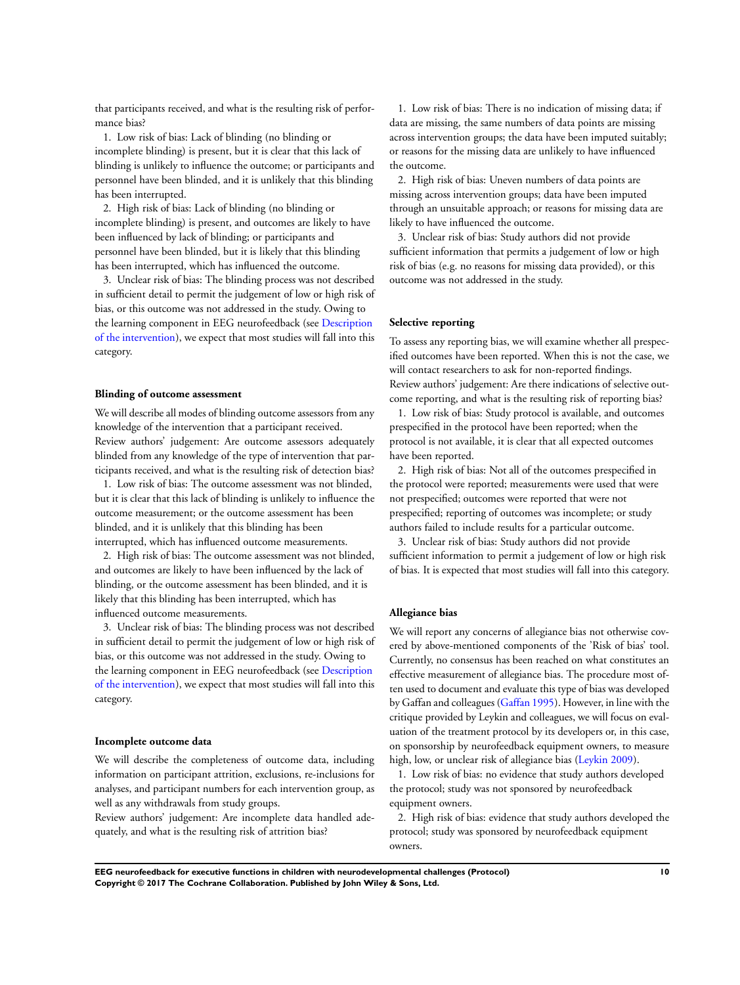that participants received, and what is the resulting risk of performance bias?

1. Low risk of bias: Lack of blinding (no blinding or incomplete blinding) is present, but it is clear that this lack of blinding is unlikely to influence the outcome; or participants and personnel have been blinded, and it is unlikely that this blinding has been interrupted.

2. High risk of bias: Lack of blinding (no blinding or incomplete blinding) is present, and outcomes are likely to have been influenced by lack of blinding; or participants and personnel have been blinded, but it is likely that this blinding has been interrupted, which has influenced the outcome.

3. Unclear risk of bias: The blinding process was not described in sufficient detail to permit the judgement of low or high risk of bias, or this outcome was not addressed in the study. Owing to the learning component in EEG neurofeedback (see [Description](#page-5-0) [of the intervention](#page-5-0)), we expect that most studies will fall into this category.

# **Blinding of outcome assessment**

We will describe all modes of blinding outcome assessors from any knowledge of the intervention that a participant received. Review authors' judgement: Are outcome assessors adequately blinded from any knowledge of the type of intervention that participants received, and what is the resulting risk of detection bias?

1. Low risk of bias: The outcome assessment was not blinded, but it is clear that this lack of blinding is unlikely to influence the outcome measurement; or the outcome assessment has been blinded, and it is unlikely that this blinding has been interrupted, which has influenced outcome measurements.

2. High risk of bias: The outcome assessment was not blinded, and outcomes are likely to have been influenced by the lack of blinding, or the outcome assessment has been blinded, and it is likely that this blinding has been interrupted, which has influenced outcome measurements.

3. Unclear risk of bias: The blinding process was not described in sufficient detail to permit the judgement of low or high risk of bias, or this outcome was not addressed in the study. Owing to the learning component in EEG neurofeedback (see [Description](#page-5-0) [of the intervention](#page-5-0)), we expect that most studies will fall into this category.

# **Incomplete outcome data**

We will describe the completeness of outcome data, including information on participant attrition, exclusions, re-inclusions for analyses, and participant numbers for each intervention group, as well as any withdrawals from study groups.

Review authors' judgement: Are incomplete data handled adequately, and what is the resulting risk of attrition bias?

1. Low risk of bias: There is no indication of missing data; if data are missing, the same numbers of data points are missing across intervention groups; the data have been imputed suitably; or reasons for the missing data are unlikely to have influenced the outcome.

2. High risk of bias: Uneven numbers of data points are missing across intervention groups; data have been imputed through an unsuitable approach; or reasons for missing data are likely to have influenced the outcome.

3. Unclear risk of bias: Study authors did not provide sufficient information that permits a judgement of low or high risk of bias (e.g. no reasons for missing data provided), or this outcome was not addressed in the study.

# **Selective reporting**

To assess any reporting bias, we will examine whether all prespecified outcomes have been reported. When this is not the case, we will contact researchers to ask for non-reported findings. Review authors' judgement: Are there indications of selective outcome reporting, and what is the resulting risk of reporting bias?

1. Low risk of bias: Study protocol is available, and outcomes prespecified in the protocol have been reported; when the protocol is not available, it is clear that all expected outcomes have been reported.

2. High risk of bias: Not all of the outcomes prespecified in the protocol were reported; measurements were used that were not prespecified; outcomes were reported that were not prespecified; reporting of outcomes was incomplete; or study authors failed to include results for a particular outcome.

3. Unclear risk of bias: Study authors did not provide sufficient information to permit a judgement of low or high risk of bias. It is expected that most studies will fall into this category.

#### **Allegiance bias**

We will report any concerns of allegiance bias not otherwise covered by above-mentioned components of the 'Risk of bias' tool. Currently, no consensus has been reached on what constitutes an effective measurement of allegiance bias. The procedure most often used to document and evaluate this type of bias was developed by Gaffan and colleagues [\(Gaffan 1995\)](#page-17-0). However, in line with the critique provided by Leykin and colleagues, we will focus on evaluation of the treatment protocol by its developers or, in this case, on sponsorship by neurofeedback equipment owners, to measure high, low, or unclear risk of allegiance bias [\(Leykin 2009](#page-17-0)).

1. Low risk of bias: no evidence that study authors developed the protocol; study was not sponsored by neurofeedback equipment owners.

2. High risk of bias: evidence that study authors developed the protocol; study was sponsored by neurofeedback equipment owners.

**EEG neurofeedback for executive functions in children with neurodevelopmental challenges (Protocol) 10 Copyright © 2017 The Cochrane Collaboration. Published by John Wiley & Sons, Ltd.**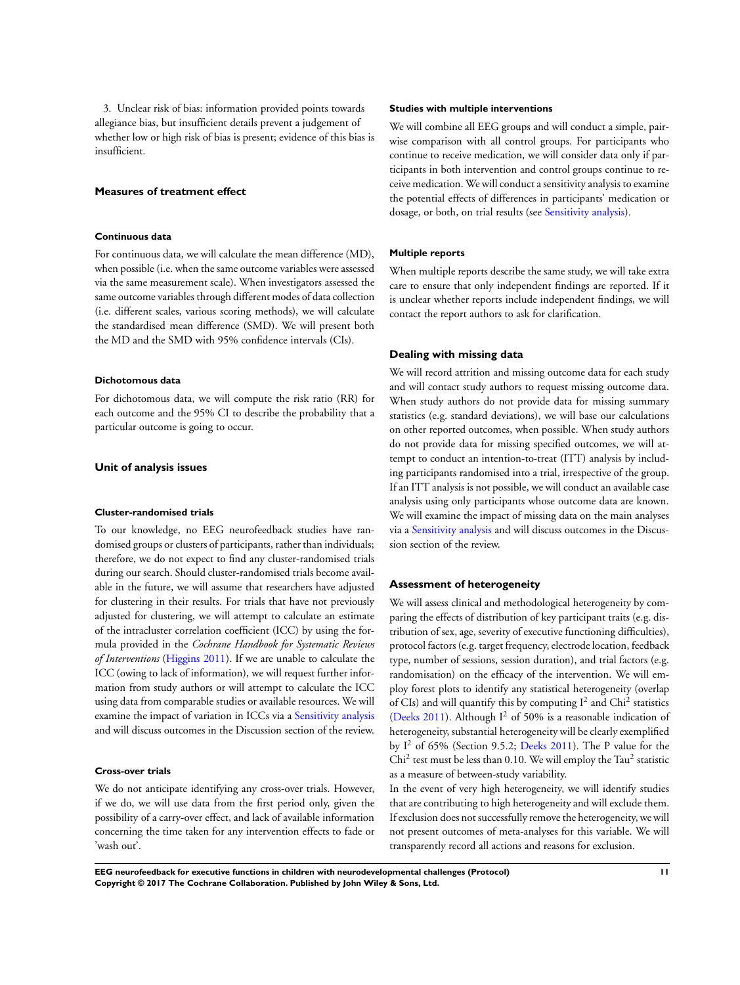3. Unclear risk of bias: information provided points towards allegiance bias, but insufficient details prevent a judgement of whether low or high risk of bias is present; evidence of this bias is insufficient.

# **Measures of treatment effect**

## **Continuous data**

For continuous data, we will calculate the mean difference (MD), when possible (i.e. when the same outcome variables were assessed via the same measurement scale). When investigators assessed the same outcome variables through different modes of data collection (i.e. different scales, various scoring methods), we will calculate the standardised mean difference (SMD). We will present both the MD and the SMD with 95% confidence intervals (CIs).

# **Dichotomous data**

For dichotomous data, we will compute the risk ratio (RR) for each outcome and the 95% CI to describe the probability that a particular outcome is going to occur.

# **Unit of analysis issues**

# **Cluster-randomised trials**

To our knowledge, no EEG neurofeedback studies have randomised groups or clusters of participants, rather than individuals; therefore, we do not expect to find any cluster-randomised trials during our search. Should cluster-randomised trials become available in the future, we will assume that researchers have adjusted for clustering in their results. For trials that have not previously adjusted for clustering, we will attempt to calculate an estimate of the intracluster correlation coefficient (ICC) by using the formula provided in the *Cochrane Handbook for Systematic Reviews of Interventions* ([Higgins 2011\)](#page-17-0). If we are unable to calculate the ICC (owing to lack of information), we will request further information from study authors or will attempt to calculate the ICC using data from comparable studies or available resources. We will examine the impact of variation in ICCs via a [Sensitivity analysis](#page-9-0) and will discuss outcomes in the Discussion section of the review.

## **Cross-over trials**

We do not anticipate identifying any cross-over trials. However, if we do, we will use data from the first period only, given the possibility of a carry-over effect, and lack of available information concerning the time taken for any intervention effects to fade or 'wash out'.

#### **Studies with multiple interventions**

We will combine all EEG groups and will conduct a simple, pairwise comparison with all control groups. For participants who continue to receive medication, we will consider data only if participants in both intervention and control groups continue to receive medication. We will conduct a sensitivity analysis to examine the potential effects of differences in participants' medication or dosage, or both, on trial results (see [Sensitivity analysis](#page-9-0)).

# **Multiple reports**

When multiple reports describe the same study, we will take extra care to ensure that only independent findings are reported. If it is unclear whether reports include independent findings, we will contact the report authors to ask for clarification.

# **Dealing with missing data**

We will record attrition and missing outcome data for each study and will contact study authors to request missing outcome data. When study authors do not provide data for missing summary statistics (e.g. standard deviations), we will base our calculations on other reported outcomes, when possible. When study authors do not provide data for missing specified outcomes, we will attempt to conduct an intention-to-treat (ITT) analysis by including participants randomised into a trial, irrespective of the group. If an ITT analysis is not possible, we will conduct an available case analysis using only participants whose outcome data are known. We will examine the impact of missing data on the main analyses via a [Sensitivity analysis](#page-9-0) and will discuss outcomes in the Discussion section of the review.

## **Assessment of heterogeneity**

We will assess clinical and methodological heterogeneity by comparing the effects of distribution of key participant traits (e.g. distribution of sex, age, severity of executive functioning difficulties), protocol factors (e.g. target frequency, electrode location, feedback type, number of sessions, session duration), and trial factors (e.g. randomisation) on the efficacy of the intervention. We will employ forest plots to identify any statistical heterogeneity (overlap of CIs) and will quantify this by computing  $I^2$  and  $Chi^2$  statistics [\(Deeks 2011](#page-17-0)). Although  $I^2$  of 50% is a reasonable indication of heterogeneity, substantial heterogeneity will be clearly exemplified by  $I^2$  of 65% (Section 9.5.2; [Deeks 2011\)](#page-17-0). The P value for the Chi<sup>2</sup> test must be less than 0.10. We will employ the Tau<sup>2</sup> statistic as a measure of between-study variability.

In the event of very high heterogeneity, we will identify studies that are contributing to high heterogeneity and will exclude them. If exclusion does not successfully remove the heterogeneity, we will not present outcomes of meta-analyses for this variable. We will transparently record all actions and reasons for exclusion.

**EEG neurofeedback for executive functions in children with neurodevelopmental challenges (Protocol) 11 Copyright © 2017 The Cochrane Collaboration. Published by John Wiley & Sons, Ltd.**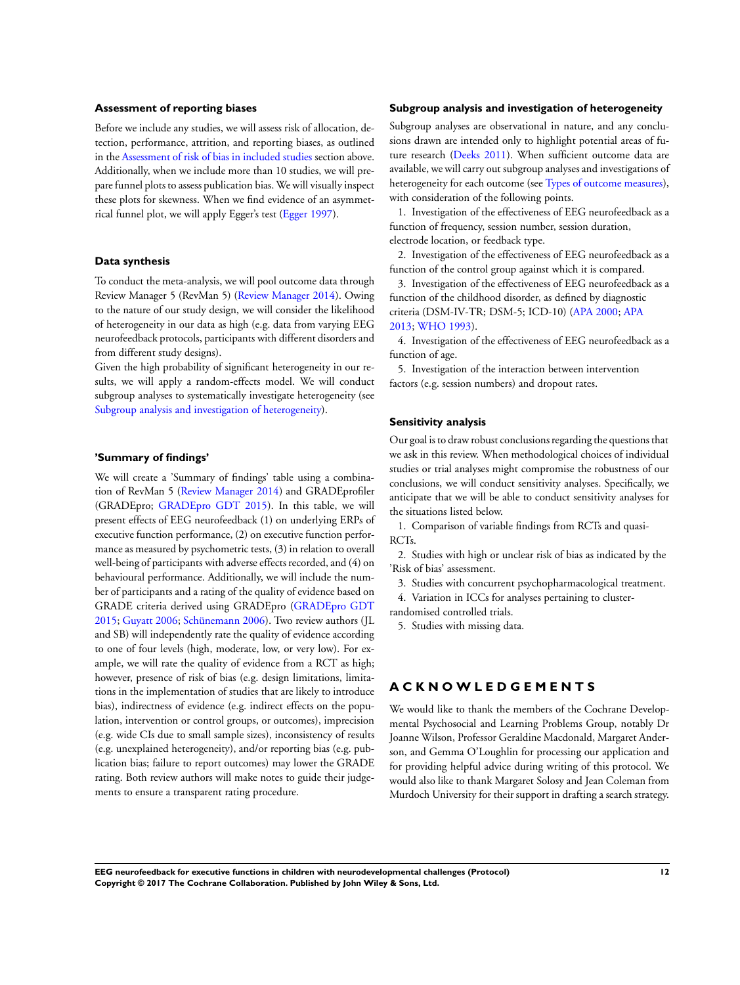#### **Assessment of reporting biases**

Before we include any studies, we will assess risk of allocation, detection, performance, attrition, and reporting biases, as outlined in the [Assessment of risk of bias in included studies](#page-9-0) section above. Additionally, when we include more than 10 studies, we will prepare funnel plots to assess publication bias. We will visually inspect these plots for skewness. When we find evidence of an asymmetrical funnel plot, we will apply Egger's test [\(Egger 1997](#page-17-0)).

# **Data synthesis**

To conduct the meta-analysis, we will pool outcome data through Review Manager 5 (RevMan 5) [\(Review Manager 2014\)](#page-17-0). Owing to the nature of our study design, we will consider the likelihood of heterogeneity in our data as high (e.g. data from varying EEG neurofeedback protocols, participants with different disorders and from different study designs).

Given the high probability of significant heterogeneity in our results, we will apply a random-effects model. We will conduct subgroup analyses to systematically investigate heterogeneity (see [Subgroup analysis and investigation of heterogeneity](#page-9-0)).

# **'Summary of findings'**

We will create a 'Summary of findings' table using a combination of RevMan 5 [\(Review Manager 2014](#page-17-0)) and GRADEprofiler (GRADEpro; [GRADEpro GDT 2015](#page-17-0)). In this table, we will present effects of EEG neurofeedback (1) on underlying ERPs of executive function performance, (2) on executive function performance as measured by psychometric tests, (3) in relation to overall well-being of participants with adverse effects recorded, and (4) on behavioural performance. Additionally, we will include the number of participants and a rating of the quality of evidence based on GRADE criteria derived using GRADEpro [\(GRADEpro GDT](#page-17-0) [2015](#page-17-0); [Guyatt 2006](#page-17-0); [Schünemann 2006](#page-17-0)). Two review authors (JL and SB) will independently rate the quality of evidence according to one of four levels (high, moderate, low, or very low). For example, we will rate the quality of evidence from a RCT as high; however, presence of risk of bias (e.g. design limitations, limitations in the implementation of studies that are likely to introduce bias), indirectness of evidence (e.g. indirect effects on the population, intervention or control groups, or outcomes), imprecision (e.g. wide CIs due to small sample sizes), inconsistency of results (e.g. unexplained heterogeneity), and/or reporting bias (e.g. publication bias; failure to report outcomes) may lower the GRADE rating. Both review authors will make notes to guide their judgements to ensure a transparent rating procedure.

# **Subgroup analysis and investigation of heterogeneity**

Subgroup analyses are observational in nature, and any conclusions drawn are intended only to highlight potential areas of future research ([Deeks 2011](#page-17-0)). When sufficient outcome data are available, we will carry out subgroup analyses and investigations of heterogeneity for each outcome (see [Types of outcome measures](#page-9-0)), with consideration of the following points.

1. Investigation of the effectiveness of EEG neurofeedback as a function of frequency, session number, session duration, electrode location, or feedback type.

2. Investigation of the effectiveness of EEG neurofeedback as a function of the control group against which it is compared.

3. Investigation of the effectiveness of EEG neurofeedback as a function of the childhood disorder, as defined by diagnostic criteria (DSM-IV-TR; DSM-5; ICD-10) ([APA 2000](#page-17-0); [APA](#page-17-0) [2013](#page-17-0); [WHO 1993\)](#page-17-0).

4. Investigation of the effectiveness of EEG neurofeedback as a function of age.

5. Investigation of the interaction between intervention factors (e.g. session numbers) and dropout rates.

# **Sensitivity analysis**

Our goal is to draw robust conclusions regarding the questions that we ask in this review. When methodological choices of individual studies or trial analyses might compromise the robustness of our conclusions, we will conduct sensitivity analyses. Specifically, we anticipate that we will be able to conduct sensitivity analyses for the situations listed below.

1. Comparison of variable findings from RCTs and quasi-RCTs.

2. Studies with high or unclear risk of bias as indicated by the 'Risk of bias' assessment.

3. Studies with concurrent psychopharmacological treatment.

4. Variation in ICCs for analyses pertaining to cluster-

randomised controlled trials.

5. Studies with missing data.

# **A C K N O W L E D G E M E N T S**

We would like to thank the members of the Cochrane Developmental Psychosocial and Learning Problems Group, notably Dr Joanne Wilson, Professor Geraldine Macdonald, Margaret Anderson, and Gemma O'Loughlin for processing our application and for providing helpful advice during writing of this protocol. We would also like to thank Margaret Solosy and Jean Coleman from Murdoch University for their support in drafting a search strategy.

**EEG neurofeedback for executive functions in children with neurodevelopmental challenges (Protocol) 12 Copyright © 2017 The Cochrane Collaboration. Published by John Wiley & Sons, Ltd.**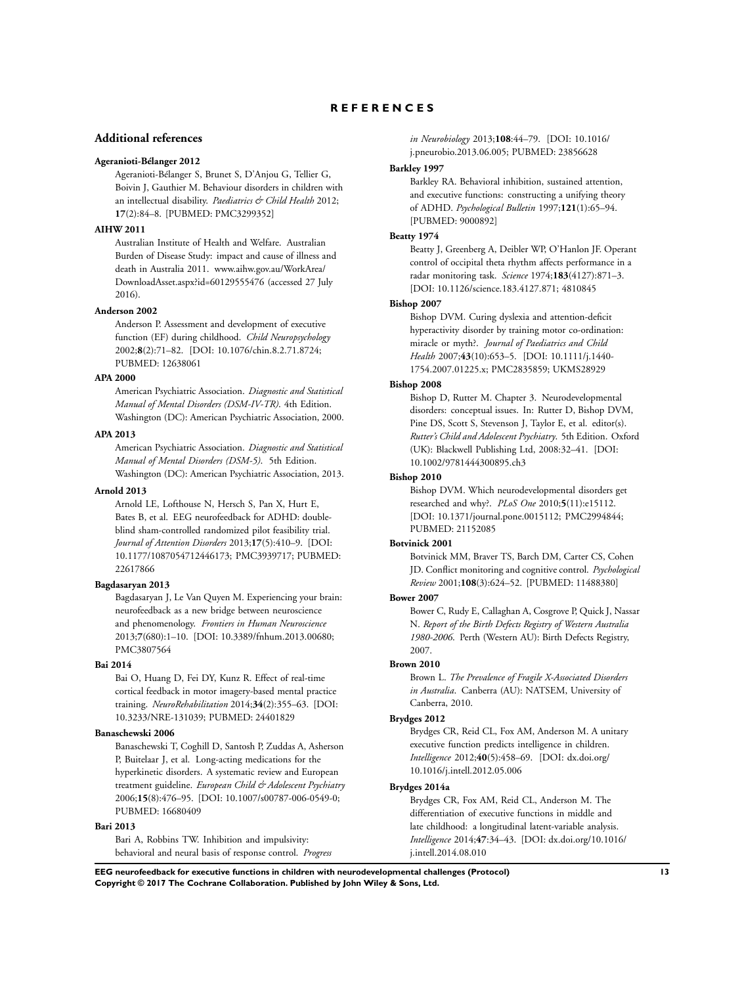# <span id="page-17-0"></span>**Additional references**

# **Ageranioti-Bélanger 2012**

Ageranioti-Bélanger S, Brunet S, D'Anjou G, Tellier G, Boivin J, Gauthier M. Behaviour disorders in children with an intellectual disability. *Paediatrics & Child Health* 2012; **17**(2):84–8. [PUBMED: PMC3299352]

# **AIHW 2011**

Australian Institute of Health and Welfare. Australian Burden of Disease Study: impact and cause of illness and death in Australia 2011. www.aihw.gov.au/WorkArea/ DownloadAsset.aspx?id=60129555476 (accessed 27 July 2016).

# **Anderson 2002**

Anderson P. Assessment and development of executive function (EF) during childhood. *Child Neuropsychology* 2002;**8**(2):71–82. [DOI: 10.1076/chin.8.2.71.8724; PUBMED: 12638061

## **APA 2000**

American Psychiatric Association. *Diagnostic and Statistical Manual of Mental Disorders (DSM-IV-TR)*. 4th Edition. Washington (DC): American Psychiatric Association, 2000.

### **APA 2013**

American Psychiatric Association. *Diagnostic and Statistical Manual of Mental Disorders (DSM-5)*. 5th Edition. Washington (DC): American Psychiatric Association, 2013.

## **Arnold 2013**

Arnold LE, Lofthouse N, Hersch S, Pan X, Hurt E, Bates B, et al. EEG neurofeedback for ADHD: doubleblind sham-controlled randomized pilot feasibility trial. *Journal of Attention Disorders* 2013;**17**(5):410–9. [DOI: 10.1177/1087054712446173; PMC3939717; PUBMED: 22617866

# **Bagdasaryan 2013**

Bagdasaryan J, Le Van Quyen M. Experiencing your brain: neurofeedback as a new bridge between neuroscience and phenomenology. *Frontiers in Human Neuroscience* 2013;**7**(680):1–10. [DOI: 10.3389/fnhum.2013.00680; PMC3807564

# **Bai 2014**

Bai O, Huang D, Fei DY, Kunz R. Effect of real-time cortical feedback in motor imagery-based mental practice training. *NeuroRehabilitation* 2014;**34**(2):355–63. [DOI: 10.3233/NRE-131039; PUBMED: 24401829

# **Banaschewski 2006**

Banaschewski T, Coghill D, Santosh P, Zuddas A, Asherson P, Buitelaar J, et al. Long-acting medications for the hyperkinetic disorders. A systematic review and European treatment guideline. *European Child & Adolescent Psychiatry* 2006;**15**(8):476–95. [DOI: 10.1007/s00787-006-0549-0; PUBMED: 16680409

# **Bari 2013**

Bari A, Robbins TW. Inhibition and impulsivity: behavioral and neural basis of response control. *Progress* *in Neurobiology* 2013;**108**:44–79. [DOI: 10.1016/ j.pneurobio.2013.06.005; PUBMED: 23856628

# **Barkley 1997**

Barkley RA. Behavioral inhibition, sustained attention, and executive functions: constructing a unifying theory of ADHD. *Psychological Bulletin* 1997;**121**(1):65–94. [PUBMED: 9000892]

#### **Beatty 1974**

Beatty J, Greenberg A, Deibler WP, O'Hanlon JF. Operant control of occipital theta rhythm affects performance in a radar monitoring task. *Science* 1974;**183**(4127):871–3. [DOI: 10.1126/science.183.4127.871; 4810845

# **Bishop 2007**

Bishop DVM. Curing dyslexia and attention-deficit hyperactivity disorder by training motor co-ordination: miracle or myth?. *Journal of Paediatrics and Child Health* 2007;**43**(10):653–5. [DOI: 10.1111/j.1440- 1754.2007.01225.x; PMC2835859; UKMS28929

## **Bishop 2008**

Bishop D, Rutter M. Chapter 3. Neurodevelopmental disorders: conceptual issues. In: Rutter D, Bishop DVM, Pine DS, Scott S, Stevenson J, Taylor E, et al. editor(s). *Rutter's Child and Adolescent Psychiatry*. 5th Edition. Oxford (UK): Blackwell Publishing Ltd, 2008:32–41. [DOI: 10.1002/9781444300895.ch3

# **Bishop 2010**

Bishop DVM. Which neurodevelopmental disorders get researched and why?. *PLoS One* 2010;**5**(11):e15112. [DOI: 10.1371/journal.pone.0015112; PMC2994844; PUBMED: 21152085

# **Botvinick 2001**

Botvinick MM, Braver TS, Barch DM, Carter CS, Cohen JD. Conflict monitoring and cognitive control. *Psychological Review* 2001;**108**(3):624–52. [PUBMED: 11488380]

## **Bower 2007**

Bower C, Rudy E, Callaghan A, Cosgrove P, Quick J, Nassar N. *Report of the Birth Defects Registry of Western Australia 1980-2006*. Perth (Western AU): Birth Defects Registry, 2007.

# **Brown 2010**

Brown L. *The Prevalence of Fragile X-Associated Disorders in Australia*. Canberra (AU): NATSEM, University of Canberra, 2010.

### **Brydges 2012**

Brydges CR, Reid CL, Fox AM, Anderson M. A unitary executive function predicts intelligence in children. *Intelligence* 2012;**40**(5):458–69. [DOI: dx.doi.org/ 10.1016/j.intell.2012.05.006

# **Brydges 2014a**

Brydges CR, Fox AM, Reid CL, Anderson M. The differentiation of executive functions in middle and late childhood: a longitudinal latent-variable analysis. *Intelligence* 2014;**47**:34–43. [DOI: dx.doi.org/10.1016/ j.intell.2014.08.010

**EEG neurofeedback for executive functions in children with neurodevelopmental challenges (Protocol) 13 Copyright © 2017 The Cochrane Collaboration. Published by John Wiley & Sons, Ltd.**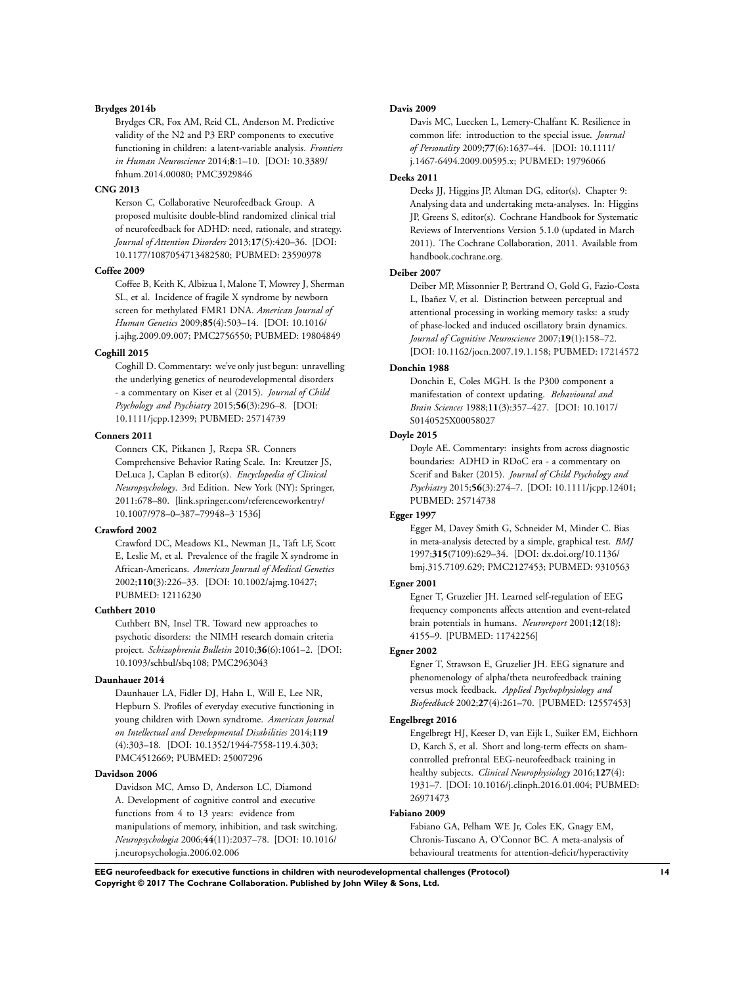# **Brydges 2014b**

Brydges CR, Fox AM, Reid CL, Anderson M. Predictive validity of the N2 and P3 ERP components to executive functioning in children: a latent-variable analysis. *Frontiers in Human Neuroscience* 2014;**8**:1–10. [DOI: 10.3389/ fnhum.2014.00080; PMC3929846

# **CNG 2013**

Kerson C, Collaborative Neurofeedback Group. A proposed multisite double-blind randomized clinical trial of neurofeedback for ADHD: need, rationale, and strategy. *Journal of Attention Disorders* 2013;**17**(5):420–36. [DOI: 10.1177/1087054713482580; PUBMED: 23590978

# **Coffee 2009**

Coffee B, Keith K, Albizua I, Malone T, Mowrey J, Sherman SL, et al. Incidence of fragile X syndrome by newborn screen for methylated FMR1 DNA. *American Journal of Human Genetics* 2009;**85**(4):503–14. [DOI: 10.1016/ j.ajhg.2009.09.007; PMC2756550; PUBMED: 19804849

# **Coghill 2015**

Coghill D. Commentary: we've only just begun: unravelling the underlying genetics of neurodevelopmental disorders - a commentary on Kiser et al (2015). *Journal of Child Psychology and Psychiatry* 2015;**56**(3):296–8. [DOI: 10.1111/jcpp.12399; PUBMED: 25714739

#### **Conners 2011**

Conners CK, Pitkanen J, Rzepa SR. Conners Comprehensive Behavior Rating Scale. In: Kreutzer JS, DeLuca J, Caplan B editor(s). *Encyclopedia of Clinical Neuropsychology*. 3rd Edition. New York (NY): Springer, 2011:678–80. [link.springer.com/referenceworkentry/ 10.1007/978–0–387–79948–3˙1536]

# **Crawford 2002**

Crawford DC, Meadows KL, Newman JL, Taft LF, Scott E, Leslie M, et al. Prevalence of the fragile X syndrome in African-Americans. *American Journal of Medical Genetics* 2002;**110**(3):226–33. [DOI: 10.1002/ajmg.10427; PUBMED: 12116230

# **Cuthbert 2010**

Cuthbert BN, Insel TR. Toward new approaches to psychotic disorders: the NIMH research domain criteria project. *Schizophrenia Bulletin* 2010;**36**(6):1061–2. [DOI: 10.1093/schbul/sbq108; PMC2963043

#### **Daunhauer 2014**

Daunhauer LA, Fidler DJ, Hahn L, Will E, Lee NR, Hepburn S. Profiles of everyday executive functioning in young children with Down syndrome. *American Journal on Intellectual and Developmental Disabilities* 2014;**119** (4):303–18. [DOI: 10.1352/1944-7558-119.4.303; PMC4512669; PUBMED: 25007296

# **Davidson 2006**

Davidson MC, Amso D, Anderson LC, Diamond A. Development of cognitive control and executive functions from 4 to 13 years: evidence from manipulations of memory, inhibition, and task switching. *Neuropsychologia* 2006;**44**(11):2037–78. [DOI: 10.1016/ j.neuropsychologia.2006.02.006

#### **Davis 2009**

Davis MC, Luecken L, Lemery-Chalfant K. Resilience in common life: introduction to the special issue. *Journal of Personality* 2009;**77**(6):1637–44. [DOI: 10.1111/ j.1467-6494.2009.00595.x; PUBMED: 19796066

# **Deeks 2011**

Deeks JJ, Higgins JP, Altman DG, editor(s). Chapter 9: Analysing data and undertaking meta-analyses. In: Higgins JP, Greens S, editor(s). Cochrane Handbook for Systematic Reviews of Interventions Version 5.1.0 (updated in March 2011). The Cochrane Collaboration, 2011. Available from handbook.cochrane.org.

# **Deiber 2007**

Deiber MP, Missonnier P, Bertrand O, Gold G, Fazio-Costa L, Ibañez V, et al. Distinction between perceptual and attentional processing in working memory tasks: a study of phase-locked and induced oscillatory brain dynamics. *Journal of Cognitive Neuroscience* 2007;**19**(1):158–72. [DOI: 10.1162/jocn.2007.19.1.158; PUBMED: 17214572

# **Donchin 1988**

Donchin E, Coles MGH. Is the P300 component a manifestation of context updating. *Behavioural and Brain Sciences* 1988;**11**(3):357–427. [DOI: 10.1017/ S0140525X00058027

# **Doyle 2015**

Doyle AE. Commentary: insights from across diagnostic boundaries: ADHD in RDoC era - a commentary on Scerif and Baker (2015). *Journal of Child Psychology and Psychiatry* 2015;**56**(3):274–7. [DOI: 10.1111/jcpp.12401; PUBMED: 25714738

# **Egger 1997**

Egger M, Davey Smith G, Schneider M, Minder C. Bias in meta-analysis detected by a simple, graphical test. *BMJ* 1997;**315**(7109):629–34. [DOI: dx.doi.org/10.1136/ bmj.315.7109.629; PMC2127453; PUBMED: 9310563

#### **Egner 2001**

Egner T, Gruzelier JH. Learned self-regulation of EEG frequency components affects attention and event-related brain potentials in humans. *Neuroreport* 2001;**12**(18): 4155–9. [PUBMED: 11742256]

#### **Egner 2002**

Egner T, Strawson E, Gruzelier JH. EEG signature and phenomenology of alpha/theta neurofeedback training versus mock feedback. *Applied Psychophysiology and Biofeedback* 2002;**27**(4):261–70. [PUBMED: 12557453]

# **Engelbregt 2016**

Engelbregt HJ, Keeser D, van Eijk L, Suiker EM, Eichhorn D, Karch S, et al. Short and long-term effects on shamcontrolled prefrontal EEG-neurofeedback training in healthy subjects. *Clinical Neurophysiology* 2016;**127**(4): 1931–7. [DOI: 10.1016/j.clinph.2016.01.004; PUBMED: 26971473

#### **Fabiano 2009**

Fabiano GA, Pelham WE Jr, Coles EK, Gnagy EM, Chronis-Tuscano A, O'Connor BC. A meta-analysis of behavioural treatments for attention-deficit/hyperactivity

**EEG neurofeedback for executive functions in children with neurodevelopmental challenges (Protocol) 14 Copyright © 2017 The Cochrane Collaboration. Published by John Wiley & Sons, Ltd.**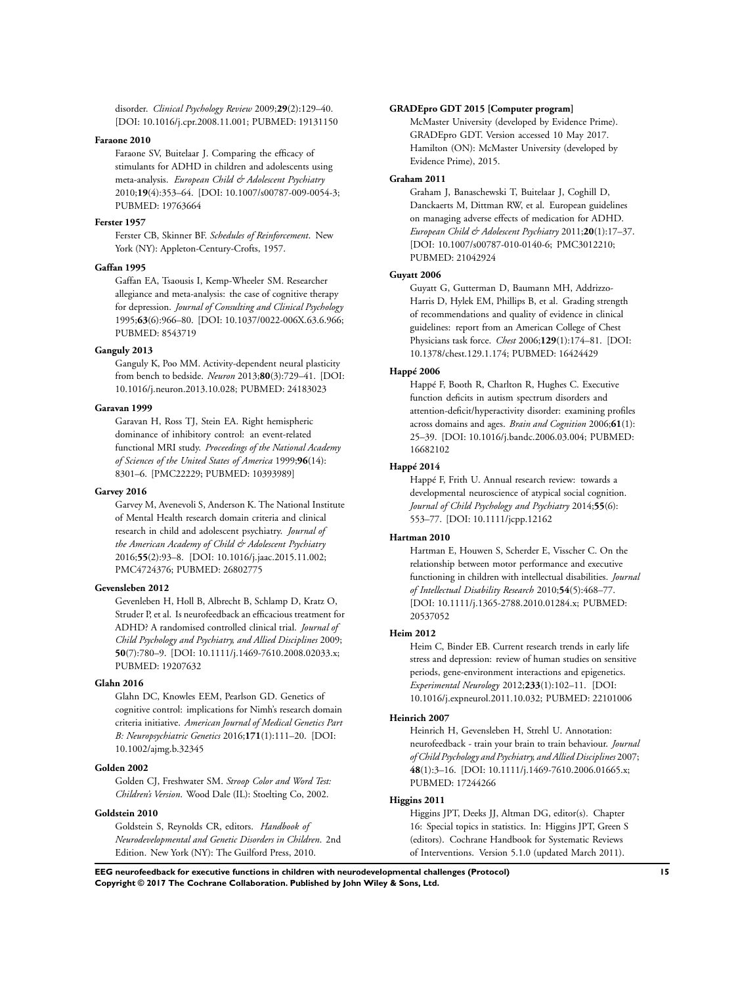disorder. *Clinical Psychology Review* 2009;**29**(2):129–40. [DOI: 10.1016/j.cpr.2008.11.001; PUBMED: 19131150

#### **Faraone 2010**

Faraone SV, Buitelaar J. Comparing the efficacy of stimulants for ADHD in children and adolescents using meta-analysis. *European Child & Adolescent Psychiatry* 2010;**19**(4):353–64. [DOI: 10.1007/s00787-009-0054-3; PUBMED: 19763664

#### **Ferster 1957**

Ferster CB, Skinner BF. *Schedules of Reinforcement*. New York (NY): Appleton-Century-Crofts, 1957.

#### **Gaffan 1995**

Gaffan EA, Tsaousis I, Kemp-Wheeler SM. Researcher allegiance and meta-analysis: the case of cognitive therapy for depression. *Journal of Consulting and Clinical Psychology* 1995;**63**(6):966–80. [DOI: 10.1037/0022-006X.63.6.966; PUBMED: 8543719

#### **Ganguly 2013**

Ganguly K, Poo MM. Activity-dependent neural plasticity from bench to bedside. *Neuron* 2013;**80**(3):729–41. [DOI: 10.1016/j.neuron.2013.10.028; PUBMED: 24183023

# **Garavan 1999**

Garavan H, Ross TJ, Stein EA. Right hemispheric dominance of inhibitory control: an event-related functional MRI study. *Proceedings of the National Academy of Sciences of the United States of America* 1999;**96**(14): 8301–6. [PMC22229; PUBMED: 10393989]

## **Garvey 2016**

Garvey M, Avenevoli S, Anderson K. The National Institute of Mental Health research domain criteria and clinical research in child and adolescent psychiatry. *Journal of the American Academy of Child & Adolescent Psychiatry* 2016;**55**(2):93–8. [DOI: 10.1016/j.jaac.2015.11.002; PMC4724376; PUBMED: 26802775

# **Gevensleben 2012**

Gevenleben H, Holl B, Albrecht B, Schlamp D, Kratz O, Struder P, et al. Is neurofeedback an efficacious treatment for ADHD? A randomised controlled clinical trial. *Journal of Child Psychology and Psychiatry, and Allied Disciplines* 2009; **50**(7):780–9. [DOI: 10.1111/j.1469-7610.2008.02033.x; PUBMED: 19207632

#### **Glahn 2016**

Glahn DC, Knowles EEM, Pearlson GD. Genetics of cognitive control: implications for Nimh's research domain criteria initiative. *American Journal of Medical Genetics Part B: Neuropsychiatric Genetics* 2016;**171**(1):111–20. [DOI: 10.1002/ajmg.b.32345

# **Golden 2002**

Golden CJ, Freshwater SM. *Stroop Color and Word Test: Children's Version*. Wood Dale (IL): Stoelting Co, 2002.

# **Goldstein 2010**

Goldstein S, Reynolds CR, editors. *Handbook of Neurodevelopmental and Genetic Disorders in Children*. 2nd Edition. New York (NY): The Guilford Press, 2010.

# **GRADEpro GDT 2015 [Computer program]**

McMaster University (developed by Evidence Prime). GRADEpro GDT. Version accessed 10 May 2017. Hamilton (ON): McMaster University (developed by Evidence Prime), 2015.

#### **Graham 2011**

Graham J, Banaschewski T, Buitelaar J, Coghill D, Danckaerts M, Dittman RW, et al. European guidelines on managing adverse effects of medication for ADHD. *European Child & Adolescent Psychiatry* 2011;**20**(1):17–37. [DOI: 10.1007/s00787-010-0140-6; PMC3012210; PUBMED: 21042924

#### **Guyatt 2006**

Guyatt G, Gutterman D, Baumann MH, Addrizzo-Harris D, Hylek EM, Phillips B, et al. Grading strength of recommendations and quality of evidence in clinical guidelines: report from an American College of Chest Physicians task force. *Chest* 2006;**129**(1):174–81. [DOI: 10.1378/chest.129.1.174; PUBMED: 16424429

# **Happé 2006**

Happé F, Booth R, Charlton R, Hughes C. Executive function deficits in autism spectrum disorders and attention-deficit/hyperactivity disorder: examining profiles across domains and ages. *Brain and Cognition* 2006;**61**(1): 25–39. [DOI: 10.1016/j.bandc.2006.03.004; PUBMED: 16682102

# **Happé 2014**

Happé F, Frith U. Annual research review: towards a developmental neuroscience of atypical social cognition. *Journal of Child Psychology and Psychiatry* 2014;**55**(6): 553–77. [DOI: 10.1111/jcpp.12162

#### **Hartman 2010**

Hartman E, Houwen S, Scherder E, Visscher C. On the relationship between motor performance and executive functioning in children with intellectual disabilities. *Journal of Intellectual Disability Research* 2010;**54**(5):468–77. [DOI: 10.1111/j.1365-2788.2010.01284.x; PUBMED: 20537052

#### **Heim 2012**

Heim C, Binder EB. Current research trends in early life stress and depression: review of human studies on sensitive periods, gene-environment interactions and epigenetics. *Experimental Neurology* 2012;**233**(1):102–11. [DOI: 10.1016/j.expneurol.2011.10.032; PUBMED: 22101006

# **Heinrich 2007**

Heinrich H, Gevensleben H, Strehl U. Annotation: neurofeedback - train your brain to train behaviour. *Journal of Child Psychology and Psychiatry, and Allied Disciplines* 2007; **48**(1):3–16. [DOI: 10.1111/j.1469-7610.2006.01665.x; PUBMED: 17244266

# **Higgins 2011**

Higgins JPT, Deeks JJ, Altman DG, editor(s). Chapter 16: Special topics in statistics. In: Higgins JPT, Green S (editors). Cochrane Handbook for Systematic Reviews of Interventions. Version 5.1.0 (updated March 2011).

**EEG neurofeedback for executive functions in children with neurodevelopmental challenges (Protocol) 15 Copyright © 2017 The Cochrane Collaboration. Published by John Wiley & Sons, Ltd.**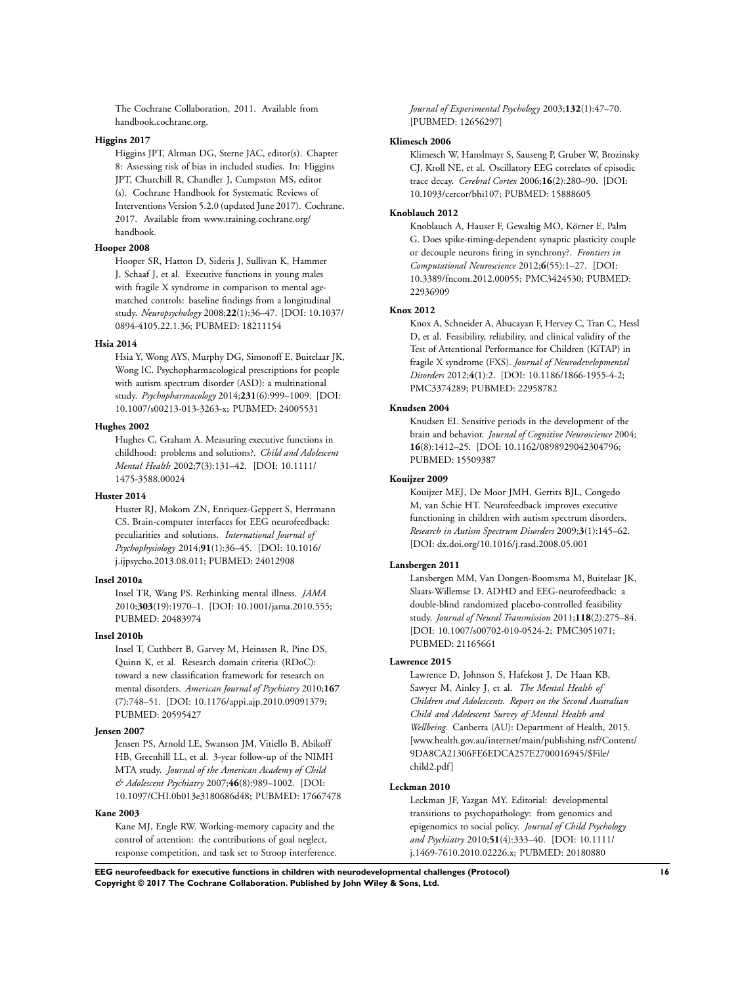The Cochrane Collaboration, 2011. Available from handbook.cochrane.org.

#### **Higgins 2017**

Higgins JPT, Altman DG, Sterne JAC, editor(s). Chapter 8: Assessing risk of bias in included studies. In: Higgins JPT, Churchill R, Chandler J, Cumpston MS, editor (s). Cochrane Handbook for Systematic Reviews of Interventions Version 5.2.0 (updated June 2017). Cochrane, 2017. Available from www.training.cochrane.org/ handbook.

# **Hooper 2008**

Hooper SR, Hatton D, Sideris J, Sullivan K, Hammer J, Schaaf J, et al. Executive functions in young males with fragile X syndrome in comparison to mental agematched controls: baseline findings from a longitudinal study. *Neuropsychology* 2008;**22**(1):36–47. [DOI: 10.1037/ 0894-4105.22.1.36; PUBMED: 18211154

#### **Hsia 2014**

Hsia Y, Wong AYS, Murphy DG, Simonoff E, Buitelaar JK, Wong IC. Psychopharmacological prescriptions for people with autism spectrum disorder (ASD): a multinational study. *Psychopharmacology* 2014;**231**(6):999–1009. [DOI: 10.1007/s00213-013-3263-x; PUBMED: 24005531

# **Hughes 2002**

Hughes C, Graham A. Measuring executive functions in childhood: problems and solutions?. *Child and Adolescent Mental Health* 2002;**7**(3):131–42. [DOI: 10.1111/ 1475-3588.00024

#### **Huster 2014**

Huster RJ, Mokom ZN, Enriquez-Geppert S, Herrmann CS. Brain-computer interfaces for EEG neurofeedback: peculiarities and solutions. *International Journal of Psychophysiology* 2014;**91**(1):36–45. [DOI: 10.1016/ j.ijpsycho.2013.08.011; PUBMED: 24012908

# **Insel 2010a**

Insel TR, Wang PS. Rethinking mental illness. *JAMA* 2010;**303**(19):1970–1. [DOI: 10.1001/jama.2010.555; PUBMED: 20483974

# **Insel 2010b**

Insel T, Cuthbert B, Garvey M, Heinssen R, Pine DS, Quinn K, et al. Research domain criteria (RDoC): toward a new classification framework for research on mental disorders. *American Journal of Psychiatry* 2010;**167** (7):748–51. [DOI: 10.1176/appi.ajp.2010.09091379; PUBMED: 20595427

# **Jensen 2007**

Jensen PS, Arnold LE, Swanson JM, Vitiello B, Abikoff HB, Greenhill LL, et al. 3-year follow-up of the NIMH MTA study. *Journal of the American Academy of Child & Adolescent Psychiatry* 2007;**46**(8):989–1002. [DOI: 10.1097/CHI.0b013e3180686d48; PUBMED: 17667478

# **Kane 2003**

Kane MJ, Engle RW. Working-memory capacity and the control of attention: the contributions of goal neglect, response competition, and task set to Stroop interference. *Journal of Experimental Psychology* 2003;**132**(1):47–70. [PUBMED: 12656297]

#### **Klimesch 2006**

Klimesch W, Hanslmayr S, Sauseng P, Gruber W, Brozinsky CJ, Kroll NE, et al. Oscillatory EEG correlates of episodic trace decay. *Cerebral Cortex* 2006;**16**(2):280–90. [DOI: 10.1093/cercor/bhi107; PUBMED: 15888605

# **Knoblauch 2012**

Knoblauch A, Hauser F, Gewaltig MO, Körner E, Palm G. Does spike-timing-dependent synaptic plasticity couple or decouple neurons firing in synchrony?. *Frontiers in Computational Neuroscience* 2012;**6**(55):1–27. [DOI: 10.3389/fncom.2012.00055; PMC3424530; PUBMED: 22936909

# **Knox 2012**

Knox A, Schneider A, Abucayan F, Hervey C, Tran C, Hessl D, et al. Feasibility, reliability, and clinical validity of the Test of Attentional Performance for Children (KiTAP) in fragile X syndrome (FXS). *Journal of Neurodevelopmental Disorders* 2012;**4**(1):2. [DOI: 10.1186/1866-1955-4-2; PMC3374289; PUBMED: 22958782

# **Knudsen 2004**

Knudsen EI. Sensitive periods in the development of the brain and behavior. *Journal of Cognitive Neuroscience* 2004; **16**(8):1412–25. [DOI: 10.1162/0898929042304796; PUBMED: 15509387

## **Kouijzer 2009**

Kouijzer MEJ, De Moor JMH, Gerrits BJL, Congedo M, van Schie HT. Neurofeedback improves executive functioning in children with autism spectrum disorders. *Research in Autism Spectrum Disorders* 2009;**3**(1):145–62. [DOI: dx.doi.org/10.1016/j.rasd.2008.05.001

#### **Lansbergen 2011**

Lansbergen MM, Van Dongen-Boomsma M, Buitelaar JK, Slaats-Willemse D. ADHD and EEG-neurofeedback: a double-blind randomized placebo-controlled feasibility study. *Journal of Neural Transmission* 2011;**118**(2):275–84. [DOI: 10.1007/s00702-010-0524-2; PMC3051071; PUBMED: 21165661

# **Lawrence 2015**

Lawrence D, Johnson S, Hafekost J, De Haan KB, Sawyer M, Ainley J, et al. *The Mental Health of Children and Adolescents. Report on the Second Australian Child and Adolescent Survey of Mental Health and Wellbeing*. Canberra (AU): Department of Health, 2015. [www.health.gov.au/internet/main/publishing.nsf/Content/ 9DA8CA21306FE6EDCA257E2700016945/\$File/ child2.pdf]

#### **Leckman 2010**

Leckman JF, Yazgan MY. Editorial: developmental transitions to psychopathology: from genomics and epigenomics to social policy. *Journal of Child Psychology and Psychiatry* 2010;**51**(4):333–40. [DOI: 10.1111/ j.1469-7610.2010.02226.x; PUBMED: 20180880

**EEG neurofeedback for executive functions in children with neurodevelopmental challenges (Protocol) 16 Copyright © 2017 The Cochrane Collaboration. Published by John Wiley & Sons, Ltd.**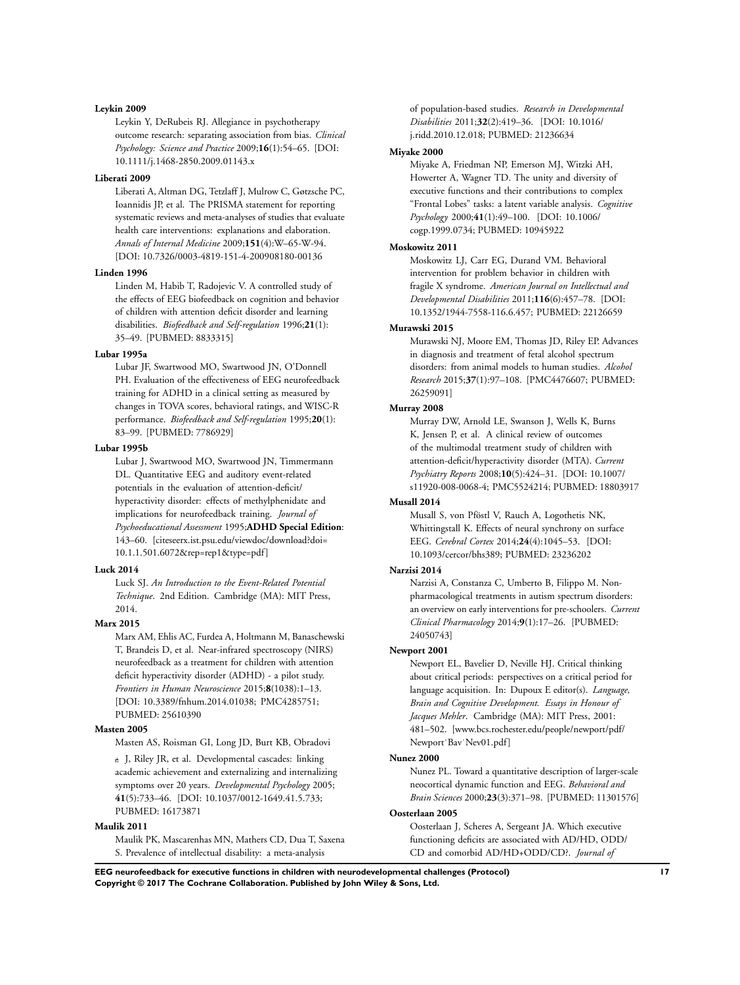#### **Leykin 2009**

Leykin Y, DeRubeis RJ. Allegiance in psychotherapy outcome research: separating association from bias. *Clinical Psychology: Science and Practice* 2009;**16**(1):54–65. [DOI: 10.1111/j.1468-2850.2009.01143.x

# **Liberati 2009**

Liberati A, Altman DG, Tetzlaff J, Mulrow C, Gøtzsche PC, Ioannidis JP, et al. The PRISMA statement for reporting systematic reviews and meta-analyses of studies that evaluate health care interventions: explanations and elaboration. *Annals of Internal Medicine* 2009;**151**(4):W–65-W-94. [DOI: 10.7326/0003-4819-151-4-200908180-00136

### **Linden 1996**

Linden M, Habib T, Radojevic V. A controlled study of the effects of EEG biofeedback on cognition and behavior of children with attention deficit disorder and learning disabilities. *Biofeedback and Self-regulation* 1996;**21**(1): 35–49. [PUBMED: 8833315]

#### **Lubar 1995a**

Lubar JF, Swartwood MO, Swartwood JN, O'Donnell PH. Evaluation of the effectiveness of EEG neurofeedback training for ADHD in a clinical setting as measured by changes in TOVA scores, behavioral ratings, and WISC-R performance. *Biofeedback and Self-regulation* 1995;**20**(1): 83–99. [PUBMED: 7786929]

# **Lubar 1995b**

Lubar J, Swartwood MO, Swartwood JN, Timmermann DL. Quantitative EEG and auditory event-related potentials in the evaluation of attention-deficit/ hyperactivity disorder: effects of methylphenidate and implications for neurofeedback training. *Journal of Psychoeducational Assessment* 1995;**ADHD Special Edition**: 143–60. [citeseerx.ist.psu.edu/viewdoc/download?doi= 10.1.1.501.6072&rep=rep1&type=pdf ]

#### **Luck 2014**

Luck SJ. *An Introduction to the Event-Related Potential Technique*. 2nd Edition. Cambridge (MA): MIT Press, 2014.

#### **Marx 2015**

Marx AM, Ehlis AC, Furdea A, Holtmann M, Banaschewski T, Brandeis D, et al. Near-infrared spectroscopy (NIRS) neurofeedback as a treatment for children with attention deficit hyperactivity disorder (ADHD) - a pilot study. *Frontiers in Human Neuroscience* 2015;**8**(1038):1–13. [DOI: 10.3389/fnhum.2014.01038; PMC4285751; PUBMED: 25610390

# **Masten 2005**

Masten AS, Roisman GI, Long JD, Burt KB, Obradovi

J, Riley JR, et al. Developmental cascades: linking academic achievement and externalizing and internalizing symptoms over 20 years. *Developmental Psychology* 2005; **41**(5):733–46. [DOI: 10.1037/0012-1649.41.5.733; PUBMED: 16173871

# **Maulik 2011**

Maulik PK, Mascarenhas MN, Mathers CD, Dua T, Saxena S. Prevalence of intellectual disability: a meta-analysis

of population-based studies. *Research in Developmental Disabilities* 2011;**32**(2):419–36. [DOI: 10.1016/ j.ridd.2010.12.018; PUBMED: 21236634

#### **Miyake 2000**

Miyake A, Friedman NP, Emerson MJ, Witzki AH, Howerter A, Wagner TD. The unity and diversity of executive functions and their contributions to complex "Frontal Lobes" tasks: a latent variable analysis. *Cognitive Psychology* 2000;**41**(1):49–100. [DOI: 10.1006/ cogp.1999.0734; PUBMED: 10945922

# **Moskowitz 2011**

Moskowitz LJ, Carr EG, Durand VM. Behavioral intervention for problem behavior in children with fragile X syndrome. *American Journal on Intellectual and Developmental Disabilities* 2011;**116**(6):457–78. [DOI: 10.1352/1944-7558-116.6.457; PUBMED: 22126659

## **Murawski 2015**

Murawski NJ, Moore EM, Thomas JD, Riley EP. Advances in diagnosis and treatment of fetal alcohol spectrum disorders: from animal models to human studies. *Alcohol Research* 2015;**37**(1):97–108. [PMC4476607; PUBMED: 26259091]

# **Murray 2008**

Murray DW, Arnold LE, Swanson J, Wells K, Burns K, Jensen P, et al. A clinical review of outcomes of the multimodal treatment study of children with attention-deficit/hyperactivity disorder (MTA). *Current Psychiatry Reports* 2008;**10**(5):424–31. [DOI: 10.1007/ s11920-008-0068-4; PMC5524214; PUBMED: 18803917

#### **Musall 2014**

Musall S, von Pföstl V, Rauch A, Logothetis NK, Whittingstall K. Effects of neural synchrony on surface EEG. *Cerebral Cortex* 2014;**24**(4):1045–53. [DOI: 10.1093/cercor/bhs389; PUBMED: 23236202

#### **Narzisi 2014**

Narzisi A, Constanza C, Umberto B, Filippo M. Nonpharmacological treatments in autism spectrum disorders: an overview on early interventions for pre-schoolers. *Current Clinical Pharmacology* 2014;**9**(1):17–26. [PUBMED: 24050743]

#### **Newport 2001**

Newport EL, Bavelier D, Neville HJ. Critical thinking about critical periods: perspectives on a critical period for language acquisition. In: Dupoux E editor(s). *Language, Brain and Cognitive Development. Essays in Honour of Jacques Mehler*. Cambridge (MA): MIT Press, 2001: 481–502. [www.bcs.rochester.edu/people/newport/pdf/ Newport Bav Nev01.pdf

#### **Nunez 2000**

Nunez PL. Toward a quantitative description of larger-scale neocortical dynamic function and EEG. *Behavioral and Brain Sciences* 2000;**23**(3):371–98. [PUBMED: 11301576]

## **Oosterlaan 2005**

Oosterlaan J, Scheres A, Sergeant JA. Which executive functioning deficits are associated with AD/HD, ODD/ CD and comorbid AD/HD+ODD/CD?. *Journal of*

**EEG neurofeedback for executive functions in children with neurodevelopmental challenges (Protocol) 17 Copyright © 2017 The Cochrane Collaboration. Published by John Wiley & Sons, Ltd.**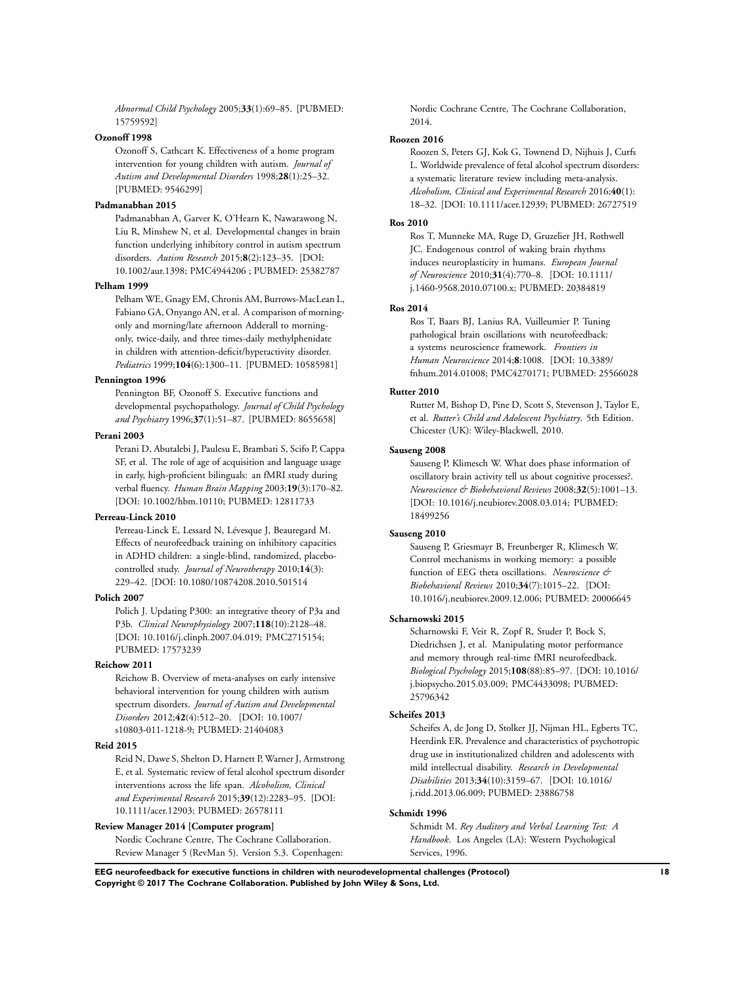*Abnormal Child Psychology* 2005;**33**(1):69–85. [PUBMED: 15759592]

#### **Ozonoff 1998**

Ozonoff S, Cathcart K. Effectiveness of a home program intervention for young children with autism. *Journal of Autism and Developmental Disorders* 1998;**28**(1):25–32. [PUBMED: 9546299]

# **Padmanabhan 2015**

Padmanabhan A, Garver K, O'Hearn K, Nawarawong N, Liu R, Minshew N, et al. Developmental changes in brain function underlying inhibitory control in autism spectrum disorders. *Autism Research* 2015;**8**(2):123–35. [DOI: 10.1002/aur.1398; PMC4944206 ; PUBMED: 25382787

#### **Pelham 1999**

Pelham WE, Gnagy EM, Chronis AM, Burrows-MacLean L, Fabiano GA, Onyango AN, et al. A comparison of morningonly and morning/late afternoon Adderall to morningonly, twice-daily, and three times-daily methylphenidate in children with attention-deficit/hyperactivity disorder. *Pediatrics* 1999;**104**(6):1300–11. [PUBMED: 10585981]

# **Pennington 1996**

Pennington BF, Ozonoff S. Executive functions and developmental psychopathology. *Journal of Child Psychology and Psychiatry* 1996;**37**(1):51–87. [PUBMED: 8655658]

# **Perani 2003**

Perani D, Abutalebi J, Paulesu E, Brambati S, Scifo P, Cappa SF, et al. The role of age of acquisition and language usage in early, high-proficient bilinguals: an fMRI study during verbal fluency. *Human Brain Mapping* 2003;**19**(3):170–82. [DOI: 10.1002/hbm.10110; PUBMED: 12811733

# **Perreau-Linck 2010**

Perreau-Linck E, Lessard N, Lévesque J, Beauregard M. Effects of neurofeedback training on inhibitory capacities in ADHD children: a single-blind, randomized, placebocontrolled study. *Journal of Neurotherapy* 2010;**14**(3): 229–42. [DOI: 10.1080/10874208.2010.501514

#### **Polich 2007**

Polich J. Updating P300: an integrative theory of P3a and P3b. *Clinical Neurophysiology* 2007;**118**(10):2128–48. [DOI: 10.1016/j.clinph.2007.04.019; PMC2715154; PUBMED: 17573239

# **Reichow 2011**

Reichow B. Overview of meta-analyses on early intensive behavioral intervention for young children with autism spectrum disorders. *Journal of Autism and Developmental Disorders* 2012;**42**(4):512–20. [DOI: 10.1007/ s10803-011-1218-9; PUBMED: 21404083

#### **Reid 2015**

Reid N, Dawe S, Shelton D, Harnett P, Warner J, Armstrong E, et al. Systematic review of fetal alcohol spectrum disorder interventions across the life span. *Alcoholism, Clinical and Experimental Research* 2015;**39**(12):2283–95. [DOI: 10.1111/acer.12903; PUBMED: 26578111

# **Review Manager 2014 [Computer program]**

Nordic Cochrane Centre, The Cochrane Collaboration. Review Manager 5 (RevMan 5). Version 5.3. Copenhagen: Nordic Cochrane Centre, The Cochrane Collaboration, 2014.

#### **Roozen 2016**

Roozen S, Peters GJ, Kok G, Townend D, Nijhuis J, Curfs L. Worldwide prevalence of fetal alcohol spectrum disorders: a systematic literature review including meta-analysis. *Alcoholism, Clinical and Experimental Research* 2016;**40**(1): 18–32. [DOI: 10.1111/acer.12939; PUBMED: 26727519

#### **Ros 2010**

Ros T, Munneke MA, Ruge D, Gruzelier JH, Rothwell JC. Endogenous control of waking brain rhythms induces neuroplasticity in humans. *European Journal of Neuroscience* 2010;**31**(4):770–8. [DOI: 10.1111/ j.1460-9568.2010.07100.x; PUBMED: 20384819

## **Ros 2014**

Ros T, Baars BJ, Lanius RA, Vuilleumier P. Tuning pathological brain oscillations with neurofeedback: a systems neuroscience framework. *Frontiers in Human Neuroscience* 2014;**8**:1008. [DOI: 10.3389/ fnhum.2014.01008; PMC4270171; PUBMED: 25566028

# **Rutter 2010**

Rutter M, Bishop D, Pine D, Scott S, Stevenson J, Taylor E, et al. *Rutter's Child and Adolescent Psychiatry*. 5th Edition. Chicester (UK): Wiley-Blackwell, 2010.

# **Sauseng 2008**

Sauseng P, Klimesch W. What does phase information of oscillatory brain activity tell us about cognitive processes?. *Neuroscience & Biobehavioral Reviews* 2008;**32**(5):1001–13. [DOI: 10.1016/j.neubiorev.2008.03.014; PUBMED: 18499256

# **Sauseng 2010**

Sauseng P, Griesmayr B, Freunberger R, Klimesch W. Control mechanisms in working memory: a possible function of EEG theta oscillations. *Neuroscience & Biobehavioral Reviews* 2010;**34**(7):1015–22. [DOI: 10.1016/j.neubiorev.2009.12.006; PUBMED: 20006645

#### **Scharnowski 2015**

Scharnowski F, Veit R, Zopf R, Studer P, Bock S, Diedrichsen J, et al. Manipulating motor performance and memory through real-time fMRI neurofeedback. *Biological Psychology* 2015;**108**(88):85–97. [DOI: 10.1016/ j.biopsycho.2015.03.009; PMC4433098; PUBMED: 25796342

#### **Scheifes 2013**

Scheifes A, de Jong D, Stolker JJ, Nijman HL, Egberts TC, Heerdink ER. Prevalence and characteristics of psychotropic drug use in institutionalized children and adolescents with mild intellectual disability. *Research in Developmental Disabilities* 2013;**34**(10):3159–67. [DOI: 10.1016/ j.ridd.2013.06.009; PUBMED: 23886758

#### **Schmidt 1996**

Schmidt M. *Rey Auditory and Verbal Learning Test: A Handbook*. Los Angeles (LA): Western Psychological Services, 1996.

**EEG neurofeedback for executive functions in children with neurodevelopmental challenges (Protocol) 18 Copyright © 2017 The Cochrane Collaboration. Published by John Wiley & Sons, Ltd.**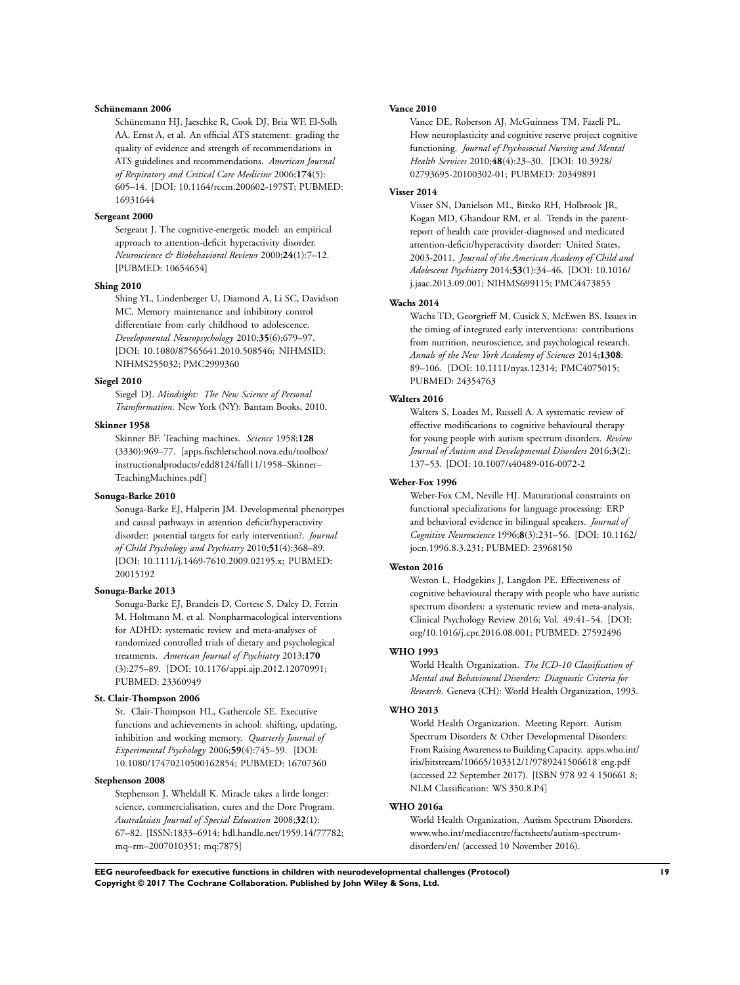## **Schünemann 2006**

Schünemann HJ, Jaeschke R, Cook DJ, Bria WF, El-Solh AA, Ernst A, et al. An official ATS statement: grading the quality of evidence and strength of recommendations in ATS guidelines and recommendations. *American Journal of Respiratory and Critical Care Medicine* 2006;**174**(5): 605–14. [DOI: 10.1164/rccm.200602-197ST; PUBMED: 16931644

# **Sergeant 2000**

Sergeant J. The cognitive-energetic model: an empirical approach to attention-deficit hyperactivity disorder. *Neuroscience & Biobehavioral Reviews* 2000;**24**(1):7–12. [PUBMED: 10654654]

# **Shing 2010**

Shing YL, Lindenberger U, Diamond A, Li SC, Davidson MC. Memory maintenance and inhibitory control differentiate from early childhood to adolescence. *Developmental Neuropsychology* 2010;**35**(6):679–97. [DOI: 10.1080/87565641.2010.508546; NIHMSID: NIHMS255032; PMC2999360

# **Siegel 2010**

Siegel DJ. *Mindsight: The New Science of Personal Transformation*. New York (NY): Bantam Books, 2010.

# **Skinner 1958**

Skinner BF. Teaching machines. *Science* 1958;**128** (3330):969–77. [apps.fischlerschool.nova.edu/toolbox/ instructionalproducts/edd8124/fall11/1958–Skinner– TeachingMachines.pdf ]

# **Sonuga-Barke 2010**

Sonuga-Barke EJ, Halperin JM. Developmental phenotypes and causal pathways in attention deficit/hyperactivity disorder: potential targets for early intervention?. *Journal of Child Psychology and Psychiatry* 2010;**51**(4):368–89. [DOI: 10.1111/j.1469-7610.2009.02195.x; PUBMED: 20015192

# **Sonuga-Barke 2013**

Sonuga-Barke EJ, Brandeis D, Cortese S, Daley D, Ferrin M, Holtmann M, et al. Nonpharmacological interventions for ADHD: systematic review and meta-analyses of randomized controlled trials of dietary and psychological treatments. *American Journal of Psychiatry* 2013;**170** (3):275–89. [DOI: 10.1176/appi.ajp.2012.12070991; PUBMED: 23360949

# **St. Clair-Thompson 2006**

St. Clair-Thompson HL, Gathercole SE. Executive functions and achievements in school: shifting, updating, inhibition and working memory. *Quarterly Journal of Experimental Psychology* 2006;**59**(4):745–59. [DOI: 10.1080/17470210500162854; PUBMED: 16707360

### **Stephenson 2008**

Stephenson J, Wheldall K. Miracle takes a little longer: science, commercialisation, cures and the Dore Program. *Australasian Journal of Special Education* 2008;**32**(1): 67–82. [ISSN:1833–6914; hdl.handle.net/1959.14/77782; mq–rm–2007010351; mq:7875]

#### **Vance 2010**

Vance DE, Roberson AJ, McGuinness TM, Fazeli PL. How neuroplasticity and cognitive reserve project cognitive functioning. *Journal of Psychosocial Nursing and Mental Health Services* 2010;**48**(4):23–30. [DOI: 10.3928/ 02793695-20100302-01; PUBMED: 20349891

# **Visser 2014**

Visser SN, Danielson ML, Bitsko RH, Holbrook JR, Kogan MD, Ghandour RM, et al. Trends in the parentreport of health care provider-diagnosed and medicated attention-deficit/hyperactivity disorder: United States, 2003-2011. *Journal of the American Academy of Child and Adolescent Psychiatry* 2014;**53**(1):34–46. [DOI: 10.1016/ j.jaac.2013.09.001; NIHMS699115; PMC4473855

# **Wachs 2014**

Wachs TD, Georgrieff M, Cusick S, McEwen BS. Issues in the timing of integrated early interventions: contributions from nutrition, neuroscience, and psychological research. *Annals of the New York Academy of Sciences* 2014;**1308**: 89–106. [DOI: 10.1111/nyas.12314; PMC4075015; PUBMED: 24354763

# **Walters 2016**

Walters S, Loades M, Russell A. A systematic review of effective modifications to cognitive behavioural therapy for young people with autism spectrum disorders. *Review Journal of Autism and Developmental Disorders* 2016;**3**(2): 137–53. [DOI: 10.1007/s40489-016-0072-2

# **Weber-Fox 1996**

Weber-Fox CM, Neville HJ. Maturational constraints on functional specializations for language processing: ERP and behavioral evidence in bilingual speakers. *Journal of Cognitive Neuroscience* 1996;**8**(3):231–56. [DOI: 10.1162/ jocn.1996.8.3.231; PUBMED: 23968150

## **Weston 2016**

Weston L, Hodgekins J, Langdon PE. Effectiveness of cognitive behavioural therapy with people who have autistic spectrum disorders: a systematic review and meta-analysis. Clinical Psychology Review 2016; Vol. 49:41–54. [DOI: org/10.1016/j.cpr.2016.08.001; PUBMED: 27592496

#### **WHO 1993**

World Health Organization. *The ICD-10 Classification of Mental and Behavioural Disorders: Diagnostic Criteria for Research*. Geneva (CH): World Health Organization, 1993.

#### **WHO 2013**

World Health Organization. Meeting Report. Autism Spectrum Disorders & Other Developmental Disorders: From Raising Awareness to Building Capacity. apps.who.int/ iris/bitstream/10665/103312/1/9789241506618˙eng.pdf (accessed 22 September 2017). [ISBN 978 92 4 150661 8; NLM Classification: WS 350.8.P4]

#### **WHO 2016a**

World Health Organization. Autism Spectrum Disorders. www.who.int/mediacentre/factsheets/autism-spectrumdisorders/en/ (accessed 10 November 2016).

**EEG neurofeedback for executive functions in children with neurodevelopmental challenges (Protocol) 19 Copyright © 2017 The Cochrane Collaboration. Published by John Wiley & Sons, Ltd.**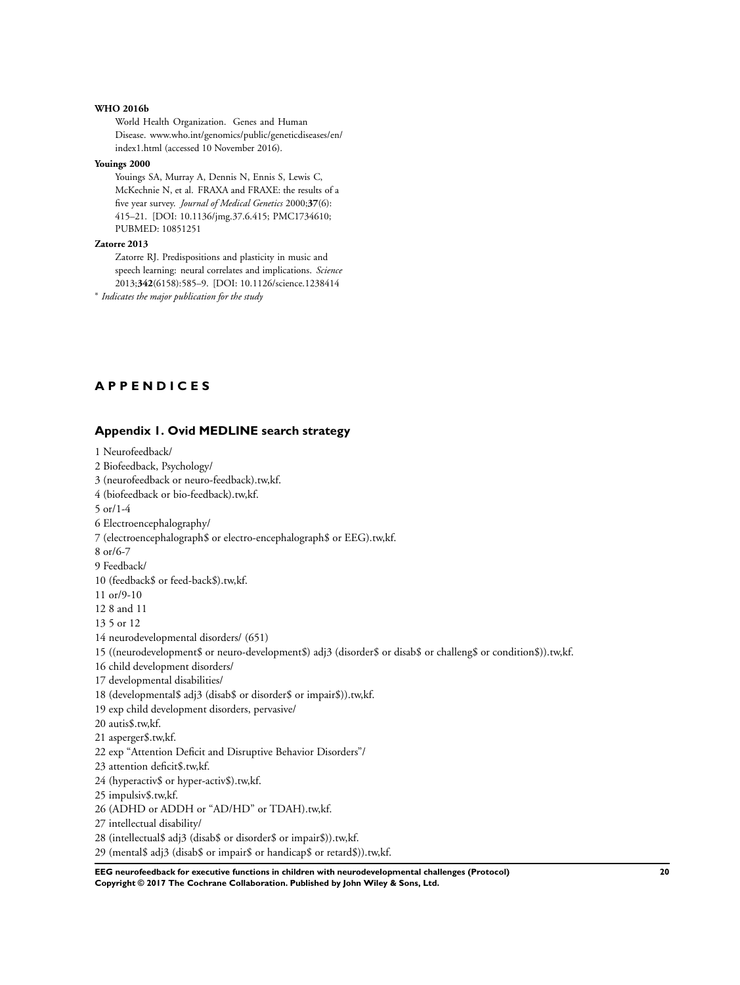# <span id="page-24-0"></span>**WHO 2016b**

World Health Organization. Genes and Human Disease. www.who.int/genomics/public/geneticdiseases/en/ index1.html (accessed 10 November 2016).

# **Youings 2000**

Youings SA, Murray A, Dennis N, Ennis S, Lewis C, McKechnie N, et al. FRAXA and FRAXE: the results of a five year survey. *Journal of Medical Genetics* 2000;**37**(6): 415–21. [DOI: 10.1136/jmg.37.6.415; PMC1734610; PUBMED: 10851251

# **Zatorre 2013**

Zatorre RJ. Predispositions and plasticity in music and speech learning: neural correlates and implications. *Science* 2013;**342**(6158):585–9. [DOI: 10.1126/science.1238414 ∗ *Indicates the major publication for the study*

# **A P P E N D I C E S**

# **Appendix 1. Ovid MEDLINE search strategy**

```
1 Neurofeedback/
2 Biofeedback, Psychology/
3 (neurofeedback or neuro-feedback).tw,kf.
4 (biofeedback or bio-feedback).tw,kf.
5 or/1-4
6 Electroencephalography/
7 (electroencephalograph$ or electro-encephalograph$ or EEG).tw,kf.
8 or/6-7
9 Feedback/
10 (feedback$ or feed-back$).tw,kf.
11 or/9-10
12 8 and 11
13 5 or 12
14 neurodevelopmental disorders/ (651)
15 ((neurodevelopment$ or neuro-development$) adj3 (disorder$ or disab$ or challeng$ or condition$)).tw,kf.
16 child development disorders/
17 developmental disabilities/
18 (developmental$ adj3 (disab$ or disorder$ or impair$)).tw,kf.
19 exp child development disorders, pervasive/
20 autis$.tw,kf.
21 asperger$.tw,kf.
22 exp "Attention Deficit and Disruptive Behavior Disorders"/
23 attention deficit$.tw,kf.
24 (hyperactiv$ or hyper-activ$).tw,kf.
25 impulsiv$.tw,kf.
26 (ADHD or ADDH or "AD/HD" or TDAH).tw,kf.
27 intellectual disability/
28 (intellectual$ adj3 (disab$ or disorder$ or impair$)).tw,kf.
29 (mental$ adj3 (disab$ or impair$ or handicap$ or retard$)).tw,kf.
```
**EEG neurofeedback for executive functions in children with neurodevelopmental challenges (Protocol) 20 Copyright © 2017 The Cochrane Collaboration. Published by John Wiley & Sons, Ltd.**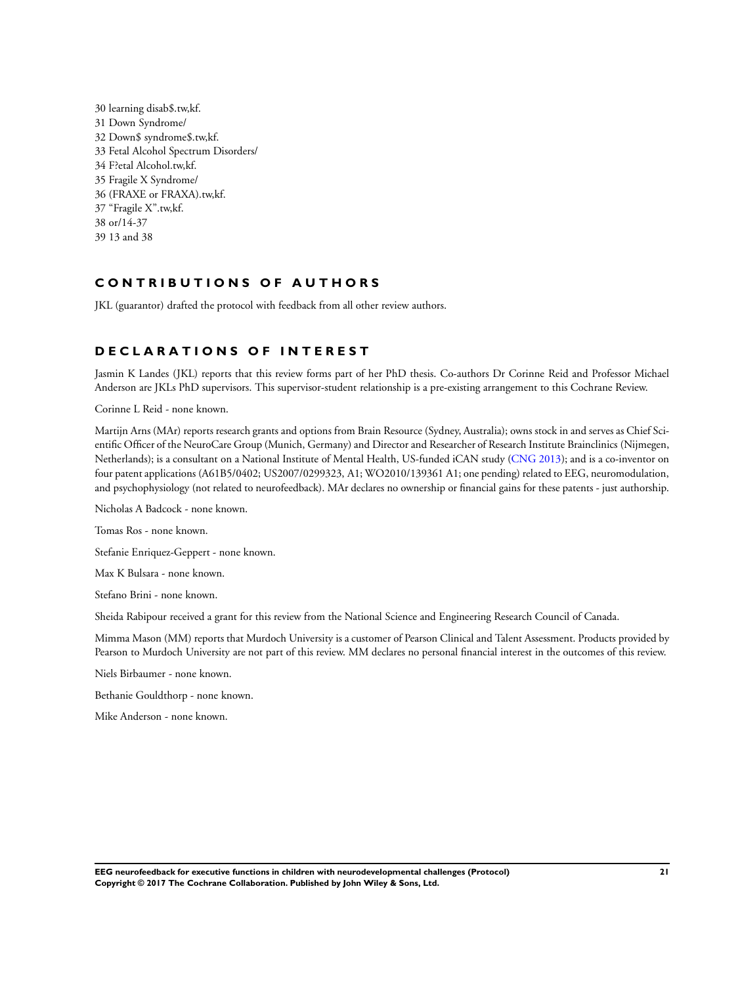30 learning disab\$.tw,kf. 31 Down Syndrome/ 32 Down\$ syndrome\$.tw,kf. 33 Fetal Alcohol Spectrum Disorders/ 34 F?etal Alcohol.tw,kf. 35 Fragile X Syndrome/ 36 (FRAXE or FRAXA).tw,kf. 37 "Fragile X".tw,kf. 38 or/14-37 39 13 and 38

# **C O N T R I B U T I O N S O F A U T H O R S**

JKL (guarantor) drafted the protocol with feedback from all other review authors.

# **D E C L A R A T I O N S O F I N T E R E S T**

Jasmin K Landes (JKL) reports that this review forms part of her PhD thesis. Co-authors Dr Corinne Reid and Professor Michael Anderson are JKLs PhD supervisors. This supervisor-student relationship is a pre-existing arrangement to this Cochrane Review.

Corinne L Reid - none known.

Martijn Arns (MAr) reports research grants and options from Brain Resource (Sydney, Australia); owns stock in and serves as Chief Scientific Officer of the NeuroCare Group (Munich, Germany) and Director and Researcher of Research Institute Brainclinics (Nijmegen, Netherlands); is a consultant on a National Institute of Mental Health, US-funded iCAN study [\(CNG 2013](#page-17-0)); and is a co-inventor on four patent applications (A61B5/0402; US2007/0299323, A1; WO2010/139361 A1; one pending) related to EEG, neuromodulation, and psychophysiology (not related to neurofeedback). MAr declares no ownership or financial gains for these patents - just authorship.

Nicholas A Badcock - none known.

Tomas Ros - none known.

Stefanie Enriquez-Geppert - none known.

Max K Bulsara - none known.

Stefano Brini - none known.

Sheida Rabipour received a grant for this review from the National Science and Engineering Research Council of Canada.

Mimma Mason (MM) reports that Murdoch University is a customer of Pearson Clinical and Talent Assessment. Products provided by Pearson to Murdoch University are not part of this review. MM declares no personal financial interest in the outcomes of this review.

Niels Birbaumer - none known.

Bethanie Gouldthorp - none known.

Mike Anderson - none known.